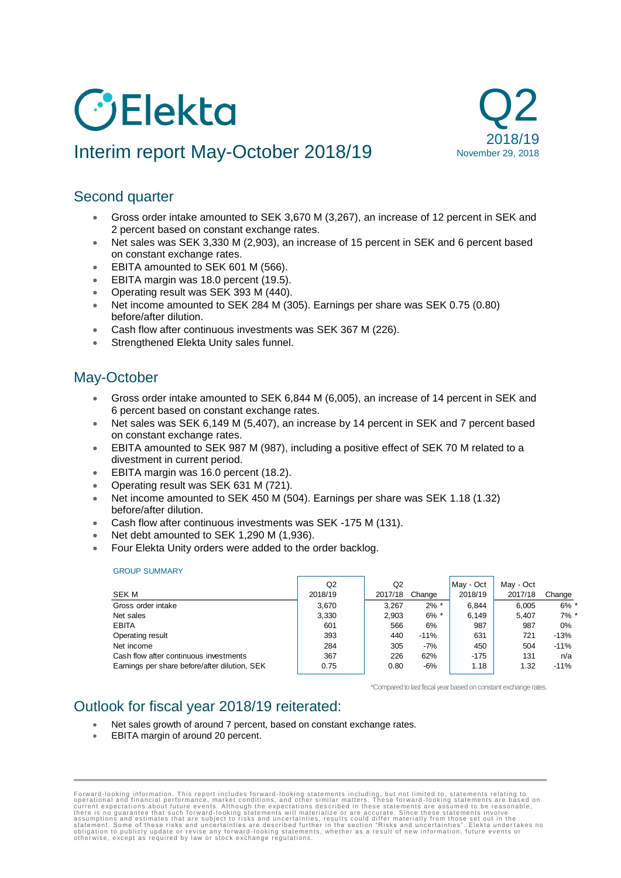# **GElekta**

# Interim report May-October 2018/19



# Second quarter

- Gross order intake amounted to SEK 3,670 M (3,267), an increase of 12 percent in SEK and 2 percent based on constant exchange rates.
- Net sales was SEK 3,330 M (2,903), an increase of 15 percent in SEK and 6 percent based on constant exchange rates.
- EBITA amounted to SEK 601 M (566).
- EBITA margin was 18.0 percent (19.5).
- Operating result was SEK 393 M (440).
- Net income amounted to SEK 284 M (305). Earnings per share was SEK 0.75 (0.80) before/after dilution.
- Cash flow after continuous investments was SEK 367 M (226).
- Strengthened Elekta Unity sales funnel.

# May-October

- Gross order intake amounted to SEK 6,844 M (6,005), an increase of 14 percent in SEK and 6 percent based on constant exchange rates.
- Net sales was SEK 6,149 M (5,407), an increase by 14 percent in SEK and 7 percent based on constant exchange rates.
- EBITA amounted to SEK 987 M (987), including a positive effect of SEK 70 M related to a divestment in current period.
- EBITA margin was 16.0 percent (18.2).
- Operating result was SEK 631 M (721).
- Net income amounted to SEK 450 M (504). Earnings per share was SEK 1.18 (1.32) before/after dilution.
- Cash flow after continuous investments was SEK -175 M (131).
- Net debt amounted to SEK 1,290 M (1,936).
- Four Elekta Unity orders were added to the order backlog.

#### GROUP SUMMARY

| <b>SEK M</b><br>Gross order intake<br>Net sales<br><b>EBITA</b><br>Operating result | Q2<br>2018/19<br>3.670<br>3,330<br>601<br>393 | Q2<br>2017/18<br>3.267<br>2.903<br>566<br>440 | Change<br>$2\%$ *<br>$6\%$ *<br>6%<br>$-11%$ | May - Oct<br>2018/19<br>6.844<br>6.149<br>987<br>631 | May - Oct<br>2017/18<br>6.005<br>5.407<br>987<br>721 | Change<br>$6\%$ *<br>$7\%$ *<br>0%<br>$-13%$ |
|-------------------------------------------------------------------------------------|-----------------------------------------------|-----------------------------------------------|----------------------------------------------|------------------------------------------------------|------------------------------------------------------|----------------------------------------------|
| Net income                                                                          | 284                                           | 305                                           | $-7%$                                        | 450                                                  | 504                                                  | $-11%$                                       |
| Cash flow after continuous investments                                              | 367                                           | 226                                           | 62%                                          | $-175$                                               | 131                                                  | n/a                                          |
| Earnings per share before/after dilution, SEK                                       | 0.75                                          | 0.80                                          | $-6%$                                        | 1.18                                                 | 1.32                                                 | $-11%$                                       |

\*Compared to last fiscal year based on constant exchange rates.

# Outlook for fiscal year 2018/19 reiterated:

- Net sales growth of around 7 percent, based on constant exchange rates.
- EBITA margin of around 20 percent.

Forward-looking information. This report includes forward-looking statements including, but not limited to, statements relating to corrent expectations about future events. Although the expectations described in these stat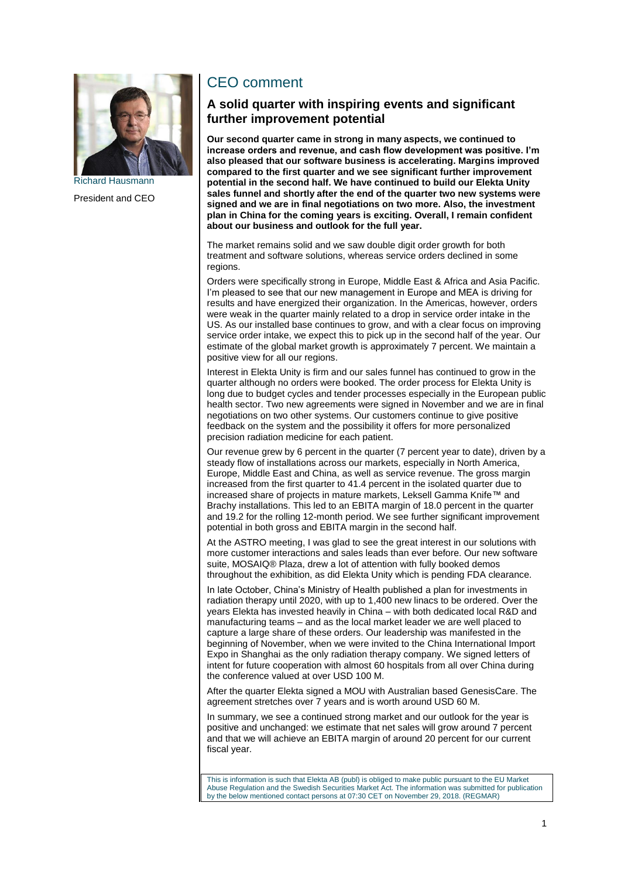

President and CEO

# CEO comment

## **A solid quarter with inspiring events and significant further improvement potential**

**Our second quarter came in strong in many aspects, we continued to increase orders and revenue, and cash flow development was positive. I'm also pleased that our software business is accelerating. Margins improved compared to the first quarter and we see significant further improvement potential in the second half. We have continued to build our Elekta Unity sales funnel and shortly after the end of the quarter two new systems were signed and we are in final negotiations on two more. Also, the investment plan in China for the coming years is exciting. Overall, I remain confident about our business and outlook for the full year.** 

The market remains solid and we saw double digit order growth for both treatment and software solutions, whereas service orders declined in some regions.

Orders were specifically strong in Europe, Middle East & Africa and Asia Pacific. I'm pleased to see that our new management in Europe and MEA is driving for results and have energized their organization. In the Americas, however, orders were weak in the quarter mainly related to a drop in service order intake in the US. As our installed base continues to grow, and with a clear focus on improving service order intake, we expect this to pick up in the second half of the year. Our estimate of the global market growth is approximately 7 percent. We maintain a positive view for all our regions.

Interest in Elekta Unity is firm and our sales funnel has continued to grow in the quarter although no orders were booked. The order process for Elekta Unity is long due to budget cycles and tender processes especially in the European public health sector. Two new agreements were signed in November and we are in final negotiations on two other systems. Our customers continue to give positive feedback on the system and the possibility it offers for more personalized precision radiation medicine for each patient.

Our revenue grew by 6 percent in the quarter (7 percent year to date), driven by a steady flow of installations across our markets, especially in North America, Europe, Middle East and China, as well as service revenue. The gross margin increased from the first quarter to 41.4 percent in the isolated quarter due to increased share of projects in mature markets, Leksell Gamma Knife™ and Brachy installations. This led to an EBITA margin of 18.0 percent in the quarter and 19.2 for the rolling 12-month period. We see further significant improvement potential in both gross and EBITA margin in the second half.

At the ASTRO meeting, I was glad to see the great interest in our solutions with more customer interactions and sales leads than ever before. Our new software suite, MOSAIQ® Plaza, drew a lot of attention with fully booked demos throughout the exhibition, as did Elekta Unity which is pending FDA clearance.

In late October, China's Ministry of Health published a plan for investments in radiation therapy until 2020, with up to 1,400 new linacs to be ordered. Over the years Elekta has invested heavily in China – with both dedicated local R&D and manufacturing teams – and as the local market leader we are well placed to capture a large share of these orders. Our leadership was manifested in the beginning of November, when we were invited to the China International Import Expo in Shanghai as the only radiation therapy company. We signed letters of intent for future cooperation with almost 60 hospitals from all over China during the conference valued at over USD 100 M.

After the quarter Elekta signed a MOU with Australian based GenesisCare. The agreement stretches over 7 years and is worth around USD 60 M.

In summary, we see a continued strong market and our outlook for the year is positive and unchanged: we estimate that net sales will grow around 7 percent and that we will achieve an EBITA margin of around 20 percent for our current fiscal year.

This is information is such that Elekta AB (publ) is obliged to make public pursuant to the EU Market Abuse Regulation and the Swedish Securities Market Act. The information was submitted for publication by the below mentioned contact persons at 07:30 CET on November 29, 2018. (REGMAR)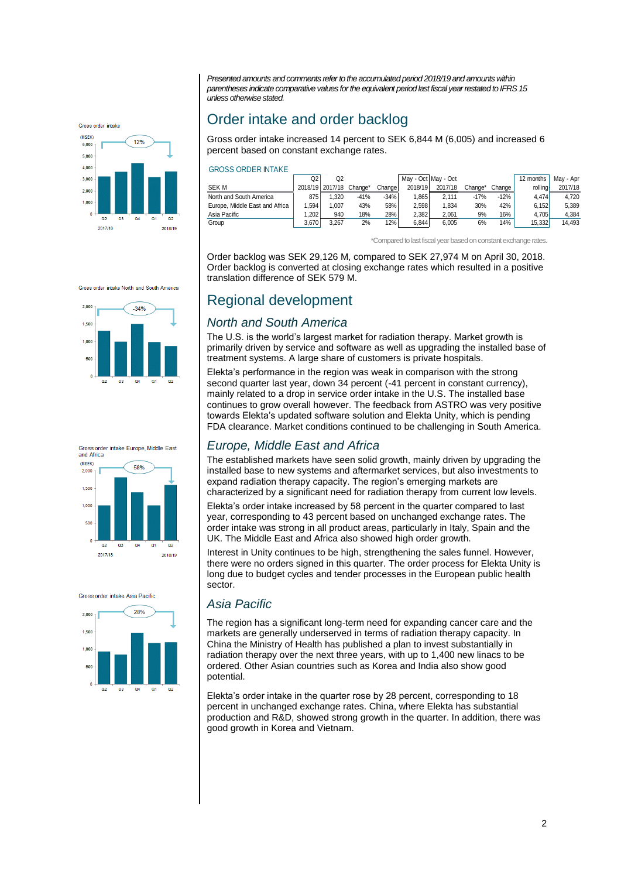*Presented amounts and comments refer to the accumulated period 2018/19 and amounts within parentheses indicate comparative values for the equivalent period last fiscal year restated toIFRS 15 unless otherwise stated.*



# Order intake and order backlog

Gross order intake increased 14 percent to SEK 6,844 M (6,005) and increased 6 percent based on constant exchange rates.

#### GROSS ORDER INTAKE

|                                | Q2    | O <sub>2</sub>          |        |        | May - Oct May - Oct |         |         |        | 12 months | Mav - Apr |
|--------------------------------|-------|-------------------------|--------|--------|---------------------|---------|---------|--------|-----------|-----------|
| <b>SEKM</b>                    |       | 2018/19 2017/18 Change* |        | Change | 2018/19             | 2017/18 | Change* | Change | rolling   | 2017/18   |
| North and South America        | 875   | 1.320                   | $-41%$ | $-34%$ | .865                | 2.111   | $-17%$  | $-12%$ | 4.474     | 4.720     |
| Europe. Middle East and Africa | 1.594 | .007                    | 43%    | 58%    | 2.598               | 1.834   | 30%     | 42%    | 6.152     | 5.389     |
| Asia Pacific                   | .202  | 940                     | 18%    | 28%    | 2.382               | 2.061   | 9%      | 16%.   | 4.705     | 4.384     |
| Group                          | 3.670 | 3.267                   | 2%     | 12%    | 6.844               | 6.005   | 6%      | 14%    | 15.332    | 14.493    |

\*Compared to last fiscal year based on constant exchange rates.

Order backlog was SEK 29,126 M, compared to SEK 27,974 M on April 30, 2018. Order backlog is converted at closing exchange rates which resulted in a positive translation difference of SEK 579 M.

# Regional development

## *North and South America*

The U.S. is the world's largest market for radiation therapy. Market growth is primarily driven by service and software as well as upgrading the installed base of treatment systems. A large share of customers is private hospitals.

Elekta's performance in the region was weak in comparison with the strong second quarter last year, down 34 percent (-41 percent in constant currency). mainly related to a drop in service order intake in the U.S. The installed base continues to grow overall however. The feedback from ASTRO was very positive towards Elekta's updated software solution and Elekta Unity, which is pending FDA clearance. Market conditions continued to be challenging in South America.

## *Europe, Middle East and Africa*

The established markets have seen solid growth, mainly driven by upgrading the installed base to new systems and aftermarket services, but also investments to expand radiation therapy capacity. The region's emerging markets are characterized by a significant need for radiation therapy from current low levels.

Elekta's order intake increased by 58 percent in the quarter compared to last year, corresponding to 43 percent based on unchanged exchange rates. The order intake was strong in all product areas, particularly in Italy, Spain and the UK. The Middle East and Africa also showed high order growth.

Interest in Unity continues to be high, strengthening the sales funnel. However, there were no orders signed in this quarter. The order process for Elekta Unity is long due to budget cycles and tender processes in the European public health sector.

## *Asia Pacific*

The region has a significant long-term need for expanding cancer care and the markets are generally underserved in terms of radiation therapy capacity. In China the Ministry of Health has published a plan to invest substantially in radiation therapy over the next three years, with up to 1,400 new linacs to be ordered. Other Asian countries such as Korea and India also show good potential.

Elekta's order intake in the quarter rose by 28 percent, corresponding to 18 percent in unchanged exchange rates. China, where Elekta has substantial production and R&D, showed strong growth in the quarter. In addition, there was good growth in Korea and Vietnam.







Gross order intake Asia Pacific

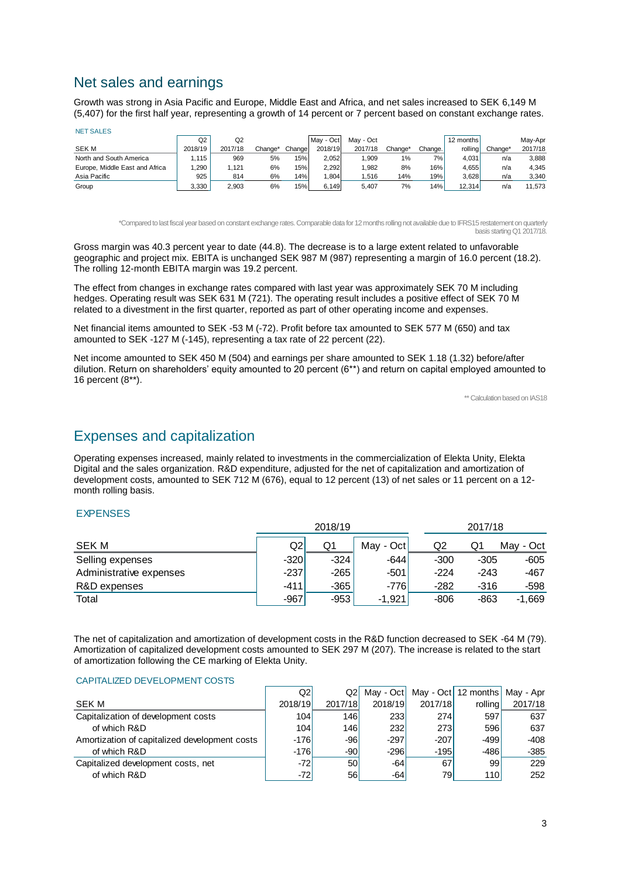# Net sales and earnings

NET SALES

Growth was strong in Asia Pacific and Europe, Middle East and Africa, and net sales increased to SEK 6,149 M (5,407) for the first half year, representing a growth of 14 percent or 7 percent based on constant exchange rates.

| <b>INET SALES</b>              |         |         |         |        |           |           |         |                  |           |         |         |
|--------------------------------|---------|---------|---------|--------|-----------|-----------|---------|------------------|-----------|---------|---------|
|                                | Q2      | Q2      |         |        | May - Oct | May - Oct |         |                  | 12 months |         | May-Apr |
| SEK M                          | 2018/19 | 2017/18 | Change* | Change | 2018/19   | 2017/18   | Change' | Change.          | rolling   | Change* | 2017/18 |
| North and South America        | 115     | 969     | 5%      | 15%    | 2.052     | 1,909     | 1%      | 7%1              | 4.031     | n/a     | 3.888   |
| Europe, Middle East and Africa | .290    | .121    | 6%      | 15%    | 2.292     | 1.982     | 8%      | 16%              | 4.655     | n/a     | 4,345   |
| Asia Pacific                   | 925     | 814     | 6%      | 14%    | .804      | 1.516     | 14%     | 19% <sub>1</sub> | 3.628     | n/a     | 3,340   |
| Group                          | 3,330   | 2,903   | 6%      | 15%    | 6.149     | 5.407     | 7%      | 14% <sub>1</sub> | 12.314    | n/a     | 11,573  |

\*Compared to last fiscal year based on constant exchange rates. Comparable data for 12 months rolling not available due to IFRS15 restatement on quarterly basis starting Q1 2017/18.

Gross margin was 40.3 percent year to date (44.8). The decrease is to a large extent related to unfavorable geographic and project mix. EBITA is unchanged SEK 987 M (987) representing a margin of 16.0 percent (18.2). The rolling 12-month EBITA margin was 19.2 percent.

The effect from changes in exchange rates compared with last year was approximately SEK 70 M including hedges. Operating result was SEK 631 M (721). The operating result includes a positive effect of SEK 70 M related to a divestment in the first quarter, reported as part of other operating income and expenses.

Net financial items amounted to SEK -53 M (-72). Profit before tax amounted to SEK 577 M (650) and tax amounted to SEK -127 M (-145), representing a tax rate of 22 percent (22).

Net income amounted to SEK 450 M (504) and earnings per share amounted to SEK 1.18 (1.32) before/after dilution. Return on shareholders' equity amounted to 20 percent (6\*\*) and return on capital employed amounted to 16 percent (8\*\*).

\*\* Calculation based on IAS18

## Expenses and capitalization

Operating expenses increased, mainly related to investments in the commercialization of Elekta Unity, Elekta Digital and the sales organization. R&D expenditure, adjusted for the net of capitalization and amortization of development costs, amounted to SEK 712 M (676), equal to 12 percent (13) of net sales or 11 percent on a 12 month rolling basis.

#### EXPENSES

|                         |        |        |           | 2017/18 |        |           |  |
|-------------------------|--------|--------|-----------|---------|--------|-----------|--|
| <b>SEK M</b>            | Q2     | Q1     | May - Oct | Q2      | Q1     | May - Oct |  |
| Selling expenses        | $-320$ | $-324$ | $-644$    | $-300$  | -305   | -605      |  |
| Administrative expenses | $-237$ | $-265$ | -501      | $-224$  | $-243$ | $-467$    |  |
| R&D expenses            | -411   | -365   | $-776$    | $-282$  | -316   | -598      |  |
| Total                   | $-967$ | -953   | $-1,921$  | $-806$  | $-863$ | $-1.669$  |  |

The net of capitalization and amortization of development costs in the R&D function decreased to SEK -64 M (79). Amortization of capitalized development costs amounted to SEK 297 M (207). The increase is related to the start of amortization following the CE marking of Elekta Unity.

#### CAPITALIZED DEVELOPMENT COSTS

|                                               | Q2      | Q2I             |         |            | May - Oct   May - Oct   12 months   May - Apr |         |
|-----------------------------------------------|---------|-----------------|---------|------------|-----------------------------------------------|---------|
| SEK M                                         | 2018/19 | 2017/18         | 2018/19 | 2017/18    | rolling                                       | 2017/18 |
| Capitalization of development costs           | 104     | 146             | 233     | <b>274</b> | 597                                           | 637     |
| of which R&D                                  | 104     | 146             | 232     | 273        | 596                                           | 637     |
| Amortization of capitalized development costs | $-176$  | -961            | $-297$  | $-207$     | $-499$                                        | $-408$  |
| of which R&D                                  | $-176$  | -901            | $-296$  | $-195$     | $-486$                                        | $-385$  |
| Capitalized development costs, net            | -721    | 50 <sub>0</sub> | $-64$   | 67         | 99                                            | 229     |
| of which R&D                                  | $-72$   | 56              | $-64$   | 791        | <b>110</b>                                    | 252     |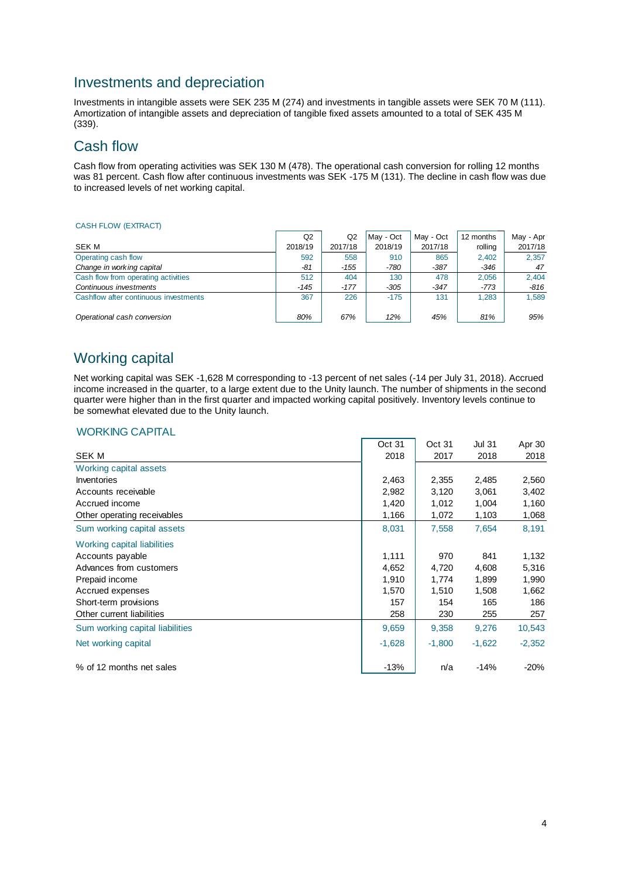# Investments and depreciation

Investments in intangible assets were SEK 235 M (274) and investments in tangible assets were SEK 70 M (111). Amortization of intangible assets and depreciation of tangible fixed assets amounted to a total of SEK 435 M (339).

# Cash flow

Cash flow from operating activities was SEK 130 M (478). The operational cash conversion for rolling 12 months was 81 percent. Cash flow after continuous investments was SEK -175 M (131). The decline in cash flow was due to increased levels of net working capital.

#### CASH FLOW (EXTRACT)

|                                       | Q <sub>2</sub> | Q2      | May - Oct | May - Oct | 12 months | May - Apr |
|---------------------------------------|----------------|---------|-----------|-----------|-----------|-----------|
| SEK M                                 | 2018/19        | 2017/18 | 2018/19   | 2017/18   | rolling   | 2017/18   |
| Operating cash flow                   | 592            | 558     | 910       | 865       | 2.402     | 2.357     |
| Change in working capital             | -81            | $-155$  | -780      | $-387$    | $-346$    | 47        |
| Cash flow from operating activities   | 512            | 404     | 130       | 478       | 2.056     | 2,404     |
| Continuous investments                | $-145$         | $-177$  | $-305$    | $-347$    | -773      | $-816$    |
| Cashflow after continuous investments | 367            | 226     | $-175$    | 131       | 1.283     | 1,589     |
| Operational cash conversion           | 80%            | 67%     | 12%       | 45%       | 81%       | 95%       |

# Working capital

Net working capital was SEK -1,628 M corresponding to -13 percent of net sales (-14 per July 31, 2018). Accrued income increased in the quarter, to a large extent due to the Unity launch. The number of shipments in the second quarter were higher than in the first quarter and impacted working capital positively. Inventory levels continue to be somewhat elevated due to the Unity launch.

#### WORKING CAPITAL

|                                 | Oct 31   | Oct 31   | <b>Jul 31</b> | Apr 30   |
|---------------------------------|----------|----------|---------------|----------|
| <b>SEK M</b>                    | 2018     | 2017     | 2018          | 2018     |
| Working capital assets          |          |          |               |          |
| Inventories                     | 2,463    | 2,355    | 2,485         | 2,560    |
| Accounts receivable             | 2,982    | 3,120    | 3,061         | 3,402    |
| Accrued income                  | 1,420    | 1,012    | 1,004         | 1,160    |
| Other operating receivables     | 1,166    | 1,072    | 1,103         | 1,068    |
| Sum working capital assets      | 8,031    | 7,558    | 7,654         | 8,191    |
| Working capital liabilities     |          |          |               |          |
| Accounts payable                | 1,111    | 970      | 841           | 1,132    |
| Advances from customers         | 4,652    | 4,720    | 4,608         | 5,316    |
| Prepaid income                  | 1,910    | 1,774    | 1,899         | 1,990    |
| Accrued expenses                | 1,570    | 1,510    | 1,508         | 1,662    |
| Short-term provisions           | 157      | 154      | 165           | 186      |
| Other current liabilities       | 258      | 230      | 255           | 257      |
| Sum working capital liabilities | 9,659    | 9,358    | 9,276         | 10,543   |
| Net working capital             | $-1,628$ | $-1,800$ | $-1,622$      | $-2,352$ |
| % of 12 months net sales        | $-13%$   | n/a      | $-14%$        | $-20%$   |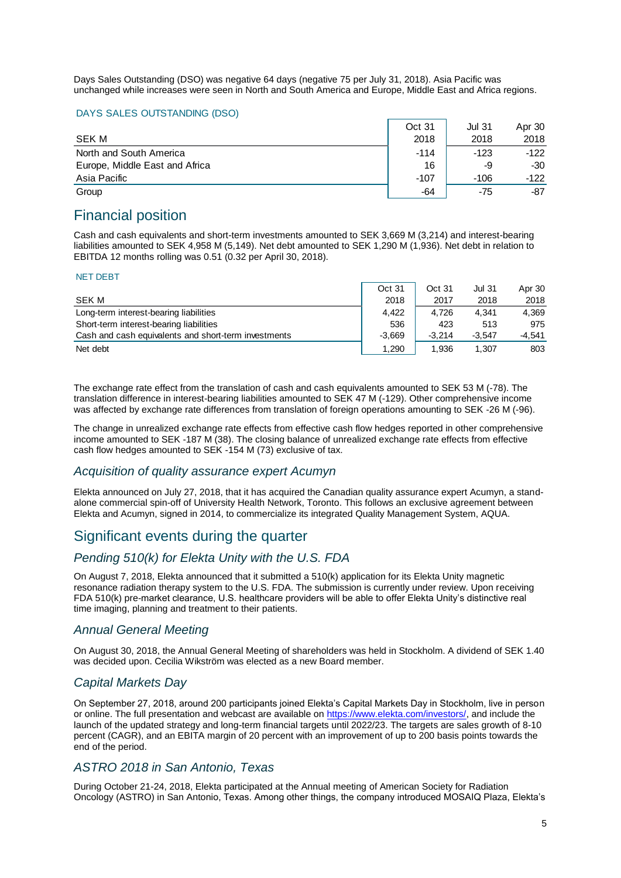Days Sales Outstanding (DSO) was negative 64 days (negative 75 per July 31, 2018). Asia Pacific was unchanged while increases were seen in North and South America and Europe, Middle East and Africa regions.

#### DAYS SALES OUTSTANDING (DSO)

|                                | Oct 31 | <b>Jul 31</b> | Apr 30 |
|--------------------------------|--------|---------------|--------|
| SEK M                          | 2018   | 2018          | 2018   |
| North and South America        | $-114$ | $-123$        | $-122$ |
| Europe, Middle East and Africa | 16     | -9            | -30    |
| Asia Pacific                   | $-107$ | $-106$        | $-122$ |
| Group                          | -64    | -75           | -87    |

# Financial position

Cash and cash equivalents and short-term investments amounted to SEK 3,669 M (3,214) and interest-bearing liabilities amounted to SEK 4,958 M (5,149). Net debt amounted to SEK 1,290 M (1,936). Net debt in relation to EBITDA 12 months rolling was 0.51 (0.32 per April 30, 2018).

#### NET DEBT

|                                                      | Oct 31   | Oct 31   | <b>Jul 31</b> | Apr 30   |
|------------------------------------------------------|----------|----------|---------------|----------|
| SEK M                                                | 2018     | 2017     | 2018          | 2018     |
| Long-term interest-bearing liabilities               | 4.422    | 4.726    | 4.341         | 4.369    |
| Short-term interest-bearing liabilities              | 536      | 423      | 513           | 975      |
| Cash and cash equivalents and short-term investments | $-3.669$ | $-3.214$ | $-3.547$      | $-4.541$ |
| Net debt                                             | 1,290    | 1.936    | 1.307         | 803      |

The exchange rate effect from the translation of cash and cash equivalents amounted to SEK 53 M (-78). The translation difference in interest-bearing liabilities amounted to SEK 47 M (-129). Other comprehensive income was affected by exchange rate differences from translation of foreign operations amounting to SEK -26 M (-96).

The change in unrealized exchange rate effects from effective cash flow hedges reported in other comprehensive income amounted to SEK -187 M (38). The closing balance of unrealized exchange rate effects from effective cash flow hedges amounted to SEK -154 M (73) exclusive of tax.

#### *Acquisition of quality assurance expert Acumyn*

Elekta announced on July 27, 2018, that it has acquired the Canadian quality assurance expert Acumyn, a standalone commercial spin-off of University Health Network, Toronto. This follows an exclusive agreement between Elekta and Acumyn, signed in 2014, to commercialize its integrated Quality Management System, AQUA.

# Significant events during the quarter

## *Pending 510(k) for Elekta Unity with the U.S. FDA*

On August 7, 2018, Elekta announced that it submitted a 510(k) application for its Elekta Unity magnetic resonance radiation therapy system to the U.S. FDA. The submission is currently under review. Upon receiving FDA 510(k) pre-market clearance, U.S. healthcare providers will be able to offer Elekta Unity's distinctive real time imaging, planning and treatment to their patients.

## *Annual General Meeting*

On August 30, 2018, the Annual General Meeting of shareholders was held in Stockholm. A dividend of SEK 1.40 was decided upon. Cecilia Wikström was elected as a new Board member.

## *Capital Markets Day*

On September 27, 2018, around 200 participants joined Elekta's Capital Markets Day in Stockholm, live in person or online. The full presentation and webcast are available on [https://www.elekta.com/investors/,](https://www.elekta.com/investors/) and include the launch of the updated strategy and long-term financial targets until 2022/23. The targets are sales growth of 8-10 percent (CAGR), and an EBITA margin of 20 percent with an improvement of up to 200 basis points towards the end of the period.

## *ASTRO 2018 in San Antonio, Texas*

During October 21-24, 2018, Elekta participated at the Annual meeting of American Society for Radiation Oncology (ASTRO) in San Antonio, Texas. Among other things, the company introduced MOSAIQ Plaza, Elekta's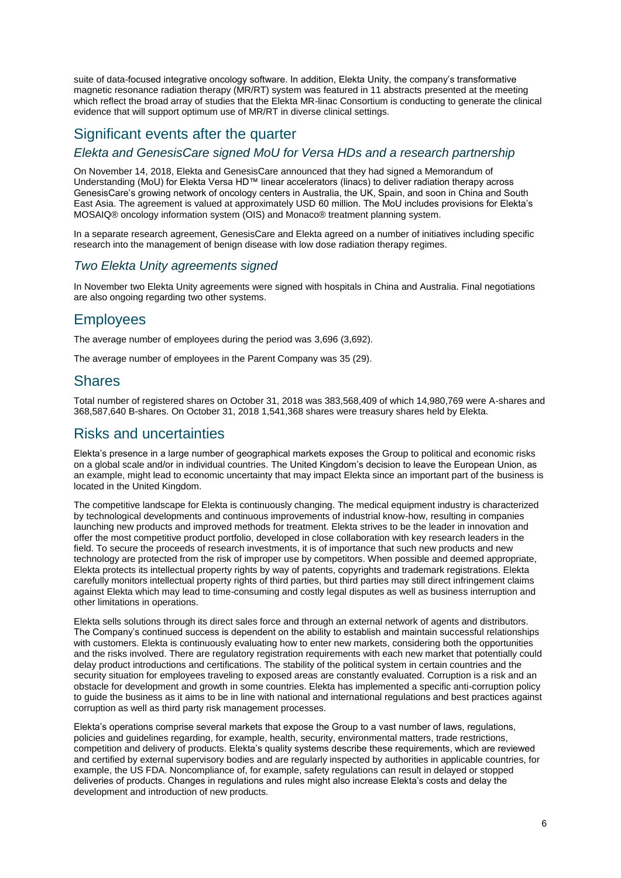suite of data-focused integrative oncology software. In addition, Elekta Unity, the company's transformative magnetic resonance radiation therapy (MR/RT) system was featured in 11 abstracts presented at the meeting which reflect the broad array of studies that the Elekta MR-linac Consortium is conducting to generate the clinical evidence that will support optimum use of MR/RT in diverse clinical settings.

# Significant events after the quarter

#### *Elekta and GenesisCare signed MoU for Versa HDs and a research partnership*

On November 14, 2018, Elekta and GenesisCare announced that they had signed a Memorandum of Understanding (MoU) for Elekta Versa HD™ linear accelerators (linacs) to deliver radiation therapy across GenesisCare's growing network of oncology centers in Australia, the UK, Spain, and soon in China and South East Asia. The agreement is valued at approximately USD 60 million. The MoU includes provisions for Elekta's MOSAIQ® oncology information system (OIS) and Monaco® treatment planning system.

In a separate research agreement, GenesisCare and Elekta agreed on a number of initiatives including specific research into the management of benign disease with low dose radiation therapy regimes.

## *Two Elekta Unity agreements signed*

In November two Elekta Unity agreements were signed with hospitals in China and Australia. Final negotiations are also ongoing regarding two other systems.

# **Employees**

The average number of employees during the period was 3,696 (3,692).

The average number of employees in the Parent Company was 35 (29).

## **Shares**

Total number of registered shares on October 31, 2018 was 383,568,409 of which 14,980,769 were A-shares and 368,587,640 B-shares. On October 31, 2018 1,541,368 shares were treasury shares held by Elekta.

# Risks and uncertainties

Elekta's presence in a large number of geographical markets exposes the Group to political and economic risks on a global scale and/or in individual countries. The United Kingdom's decision to leave the European Union, as an example, might lead to economic uncertainty that may impact Elekta since an important part of the business is located in the United Kingdom.

The competitive landscape for Elekta is continuously changing. The medical equipment industry is characterized by technological developments and continuous improvements of industrial know-how, resulting in companies launching new products and improved methods for treatment. Elekta strives to be the leader in innovation and offer the most competitive product portfolio, developed in close collaboration with key research leaders in the field. To secure the proceeds of research investments, it is of importance that such new products and new technology are protected from the risk of improper use by competitors. When possible and deemed appropriate, Elekta protects its intellectual property rights by way of patents, copyrights and trademark registrations. Elekta carefully monitors intellectual property rights of third parties, but third parties may still direct infringement claims against Elekta which may lead to time-consuming and costly legal disputes as well as business interruption and other limitations in operations.

Elekta sells solutions through its direct sales force and through an external network of agents and distributors. The Company's continued success is dependent on the ability to establish and maintain successful relationships with customers. Elekta is continuously evaluating how to enter new markets, considering both the opportunities and the risks involved. There are regulatory registration requirements with each new market that potentially could delay product introductions and certifications. The stability of the political system in certain countries and the security situation for employees traveling to exposed areas are constantly evaluated. Corruption is a risk and an obstacle for development and growth in some countries. Elekta has implemented a specific anti-corruption policy to guide the business as it aims to be in line with national and international regulations and best practices against corruption as well as third party risk management processes.

Elekta's operations comprise several markets that expose the Group to a vast number of laws, regulations, policies and guidelines regarding, for example, health, security, environmental matters, trade restrictions, competition and delivery of products. Elekta's quality systems describe these requirements, which are reviewed and certified by external supervisory bodies and are regularly inspected by authorities in applicable countries, for example, the US FDA. Noncompliance of, for example, safety regulations can result in delayed or stopped deliveries of products. Changes in regulations and rules might also increase Elekta's costs and delay the development and introduction of new products.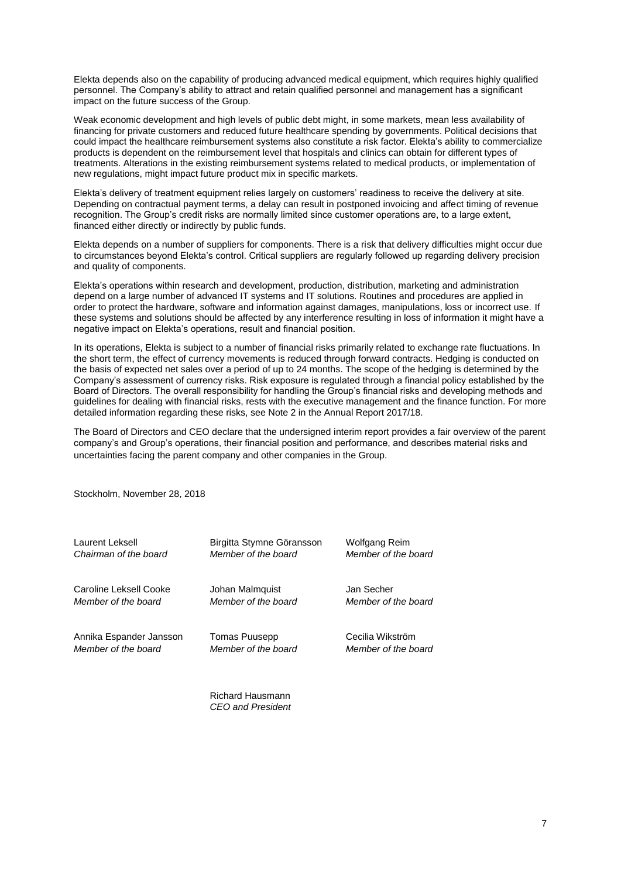Elekta depends also on the capability of producing advanced medical equipment, which requires highly qualified personnel. The Company's ability to attract and retain qualified personnel and management has a significant impact on the future success of the Group.

Weak economic development and high levels of public debt might, in some markets, mean less availability of financing for private customers and reduced future healthcare spending by governments. Political decisions that could impact the healthcare reimbursement systems also constitute a risk factor. Elekta's ability to commercialize products is dependent on the reimbursement level that hospitals and clinics can obtain for different types of treatments. Alterations in the existing reimbursement systems related to medical products, or implementation of new regulations, might impact future product mix in specific markets.

Elekta's delivery of treatment equipment relies largely on customers' readiness to receive the delivery at site. Depending on contractual payment terms, a delay can result in postponed invoicing and affect timing of revenue recognition. The Group's credit risks are normally limited since customer operations are, to a large extent, financed either directly or indirectly by public funds.

Elekta depends on a number of suppliers for components. There is a risk that delivery difficulties might occur due to circumstances beyond Elekta's control. Critical suppliers are regularly followed up regarding delivery precision and quality of components.

Elekta's operations within research and development, production, distribution, marketing and administration depend on a large number of advanced IT systems and IT solutions. Routines and procedures are applied in order to protect the hardware, software and information against damages, manipulations, loss or incorrect use. If these systems and solutions should be affected by any interference resulting in loss of information it might have a negative impact on Elekta's operations, result and financial position.

In its operations, Elekta is subject to a number of financial risks primarily related to exchange rate fluctuations. In the short term, the effect of currency movements is reduced through forward contracts. Hedging is conducted on the basis of expected net sales over a period of up to 24 months. The scope of the hedging is determined by the Company's assessment of currency risks. Risk exposure is regulated through a financial policy established by the Board of Directors. The overall responsibility for handling the Group's financial risks and developing methods and guidelines for dealing with financial risks, rests with the executive management and the finance function. For more detailed information regarding these risks, see Note 2 in the Annual Report 2017/18.

The Board of Directors and CEO declare that the undersigned interim report provides a fair overview of the parent company's and Group's operations, their financial position and performance, and describes material risks and uncertainties facing the parent company and other companies in the Group.

Stockholm, November 28, 2018

| Laurent Leksell         | Birgitta Stymne Göransson | <b>Wolfgang Reim</b> |
|-------------------------|---------------------------|----------------------|
| Chairman of the board   | Member of the board       | Member of the board  |
| Caroline Leksell Cooke  | Johan Malmquist           | Jan Secher           |
| Member of the board     | Member of the board       | Member of the board  |
| Annika Espander Jansson | <b>Tomas Puusepp</b>      | Cecilia Wikström     |
| Member of the board     | Member of the board       | Member of the board  |
|                         |                           |                      |

Richard Hausmann *CEO and President*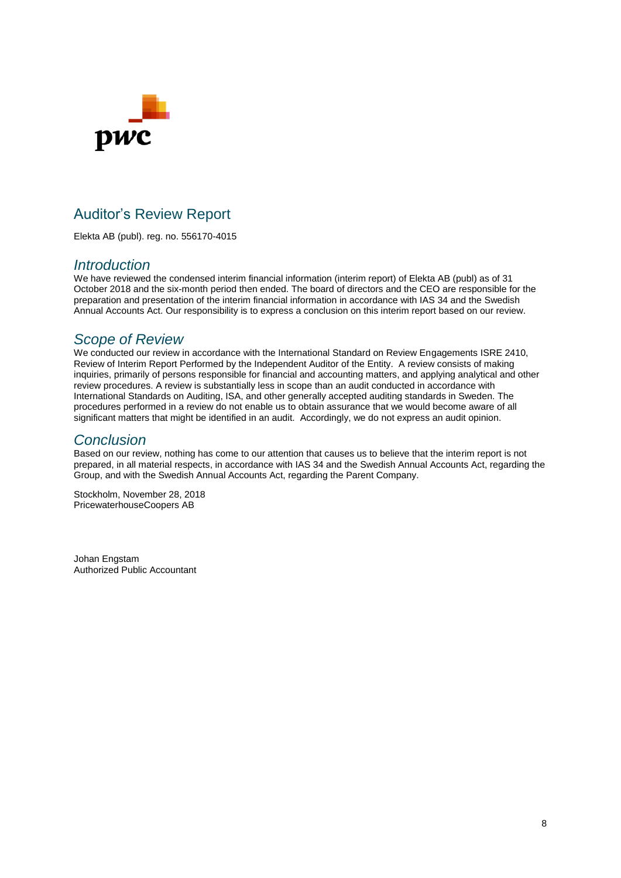

# Auditor's Review Report

Elekta AB (publ). reg. no. 556170-4015

## *Introduction*

We have reviewed the condensed interim financial information (interim report) of Elekta AB (publ) as of 31 October 2018 and the six-month period then ended. The board of directors and the CEO are responsible for the preparation and presentation of the interim financial information in accordance with IAS 34 and the Swedish Annual Accounts Act. Our responsibility is to express a conclusion on this interim report based on our review.

## *Scope of Review*

We conducted our review in accordance with the International Standard on Review Engagements ISRE 2410, Review of Interim Report Performed by the Independent Auditor of the Entity. A review consists of making inquiries, primarily of persons responsible for financial and accounting matters, and applying analytical and other review procedures. A review is substantially less in scope than an audit conducted in accordance with International Standards on Auditing, ISA, and other generally accepted auditing standards in Sweden. The procedures performed in a review do not enable us to obtain assurance that we would become aware of all significant matters that might be identified in an audit. Accordingly, we do not express an audit opinion.

## *Conclusion*

Based on our review, nothing has come to our attention that causes us to believe that the interim report is not prepared, in all material respects, in accordance with IAS 34 and the Swedish Annual Accounts Act, regarding the Group, and with the Swedish Annual Accounts Act, regarding the Parent Company.

Stockholm, November 28, 2018 PricewaterhouseCoopers AB

Johan Engstam Authorized Public Accountant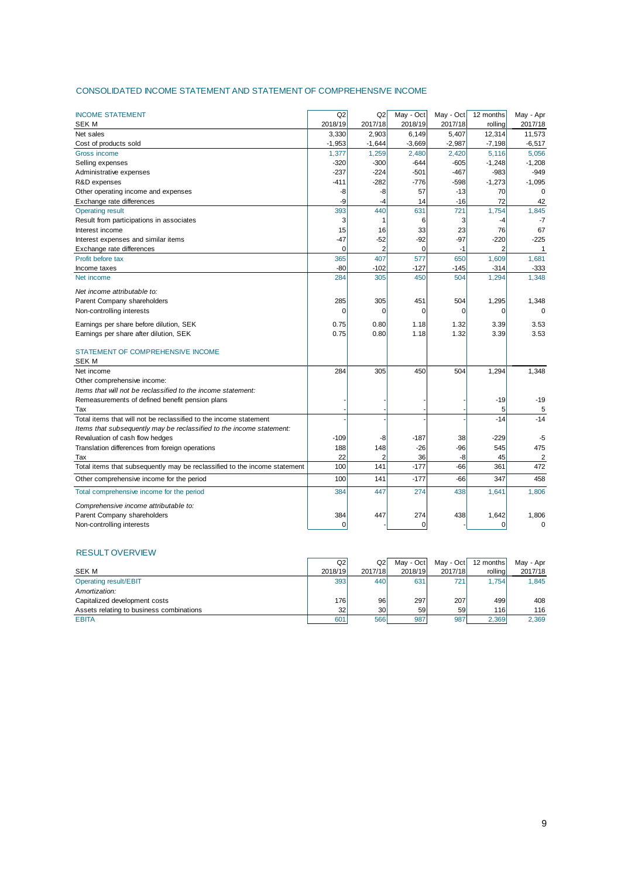#### CONSOLIDATED INCOME STATEMENT AND STATEMENT OF COMPREHENSIVE INCOME

| 2017/18<br><b>SEK M</b><br>2018/19<br>2018/19<br>2017/18<br>2017/18<br>rolling<br>3,330<br>2,903<br>6,149<br>11,573<br>Net sales<br>5,407<br>12,314<br>$-1,953$<br>$-1,644$<br>$-3,669$<br>$-2,987$<br>$-6,517$<br>Cost of products sold<br>$-7,198$<br>1,377<br>1,259<br>2,480<br>2,420<br>5,116<br>5,056<br>Gross income<br>$-320$<br>$-300$<br>$-605$<br>$-1,248$<br>$-1,208$<br>Selling expenses<br>-644<br>$-237$<br>$-224$<br>$-501$<br>$-467$<br>$-983$<br>$-949$<br>Administrative expenses<br>$-411$<br>$-282$<br>$-776$<br>$-598$<br>$-1,273$<br>$-1,095$<br>R&D expenses<br>Other operating income and expenses<br>-8<br>-8<br>57<br>$-13$<br>70<br>$\Omega$<br>$-16$<br>72<br>-9<br>$-4$<br>14<br>42<br>Exchange rate differences<br>440<br>393<br>631<br>721<br>1,754<br>1,845<br><b>Operating result</b><br>Result from participations in associates<br>3<br>1<br>6<br>3<br>-7<br>-4<br>15<br>23<br>16<br>33<br>76<br>67<br>Interest income<br>$-92$<br>$-97$<br>$-225$<br>$-47$<br>$-52$<br>$-220$<br>Interest expenses and similar items<br>2<br>0<br>$-1$<br>Exchange rate differences<br>$\Omega$<br>2<br>1<br>365<br>407<br>577<br>650<br>Profit before tax<br>1,609<br>1,681<br>$-80$<br>$-102$<br>$-127$<br>$-145$<br>$-314$<br>$-333$<br>Income taxes<br>284<br>450<br>504<br>1,348<br>305<br>1,294<br>Net income<br>Net income attributable to:<br>Parent Company shareholders<br>285<br>305<br>451<br>504<br>1,295<br>1,348<br>Non-controlling interests<br>0<br>0<br>$\mathbf 0$<br>$\Omega$<br>$\Omega$<br>0<br>Earnings per share before dilution, SEK<br>0.75<br>0.80<br>1.18<br>1.32<br>3.39<br>3.53<br>0.75<br>0.80<br>1.18<br>1.32<br>3.39<br>3.53<br>Earnings per share after dilution, SEK<br>STATEMENT OF COMPREHENSIVE INCOME<br><b>SEK M</b><br>284<br>305<br>450<br>504<br>1,294<br>1,348<br>Net income<br>Other comprehensive income:<br>Items that will not be reclassified to the income statement:<br>$-19$<br>$-19$<br>Remeasurements of defined benefit pension plans<br>5<br>Tax<br>5<br>Total items that will not be reclassified to the income statement<br>$-14$<br>$-14$<br>Items that subsequently may be reclassified to the income statement:<br>Revaluation of cash flow hedges<br>$-109$<br>$-187$<br>38<br>$-229$<br>-8<br>-5<br>148<br>$-26$<br>$-96$<br>475<br>Translation differences from foreign operations<br>188<br>545<br>22<br>$\overline{c}$<br>$\overline{2}$<br>36<br>-8<br>45<br>Tax<br>Total items that subsequently may be reclassified to the income statement<br>100<br>$-177$<br>$-66$<br>361<br>472<br>141<br>100<br>$-66$<br>347<br>Other comprehensive income for the period<br>141<br>$-177$<br>458<br>384<br>447<br>274<br>438<br>Total comprehensive income for the period<br>1,641<br>1,806<br>Comprehensive income attributable to: | <b>INCOME STATEMENT</b>     | Q2  | Q2  | May - Oct | May - Oct | 12 months | May - Apr |
|---------------------------------------------------------------------------------------------------------------------------------------------------------------------------------------------------------------------------------------------------------------------------------------------------------------------------------------------------------------------------------------------------------------------------------------------------------------------------------------------------------------------------------------------------------------------------------------------------------------------------------------------------------------------------------------------------------------------------------------------------------------------------------------------------------------------------------------------------------------------------------------------------------------------------------------------------------------------------------------------------------------------------------------------------------------------------------------------------------------------------------------------------------------------------------------------------------------------------------------------------------------------------------------------------------------------------------------------------------------------------------------------------------------------------------------------------------------------------------------------------------------------------------------------------------------------------------------------------------------------------------------------------------------------------------------------------------------------------------------------------------------------------------------------------------------------------------------------------------------------------------------------------------------------------------------------------------------------------------------------------------------------------------------------------------------------------------------------------------------------------------------------------------------------------------------------------------------------------------------------------------------------------------------------------------------------------------------------------------------------------------------------------------------------------------------------------------------------------------------------------------------------------------------------------------------------------------------------------------------------------------------------------------------------------------------------------------------------------------------------------------------------------------------------------------------------|-----------------------------|-----|-----|-----------|-----------|-----------|-----------|
|                                                                                                                                                                                                                                                                                                                                                                                                                                                                                                                                                                                                                                                                                                                                                                                                                                                                                                                                                                                                                                                                                                                                                                                                                                                                                                                                                                                                                                                                                                                                                                                                                                                                                                                                                                                                                                                                                                                                                                                                                                                                                                                                                                                                                                                                                                                                                                                                                                                                                                                                                                                                                                                                                                                                                                                                                     |                             |     |     |           |           |           |           |
|                                                                                                                                                                                                                                                                                                                                                                                                                                                                                                                                                                                                                                                                                                                                                                                                                                                                                                                                                                                                                                                                                                                                                                                                                                                                                                                                                                                                                                                                                                                                                                                                                                                                                                                                                                                                                                                                                                                                                                                                                                                                                                                                                                                                                                                                                                                                                                                                                                                                                                                                                                                                                                                                                                                                                                                                                     |                             |     |     |           |           |           |           |
|                                                                                                                                                                                                                                                                                                                                                                                                                                                                                                                                                                                                                                                                                                                                                                                                                                                                                                                                                                                                                                                                                                                                                                                                                                                                                                                                                                                                                                                                                                                                                                                                                                                                                                                                                                                                                                                                                                                                                                                                                                                                                                                                                                                                                                                                                                                                                                                                                                                                                                                                                                                                                                                                                                                                                                                                                     |                             |     |     |           |           |           |           |
|                                                                                                                                                                                                                                                                                                                                                                                                                                                                                                                                                                                                                                                                                                                                                                                                                                                                                                                                                                                                                                                                                                                                                                                                                                                                                                                                                                                                                                                                                                                                                                                                                                                                                                                                                                                                                                                                                                                                                                                                                                                                                                                                                                                                                                                                                                                                                                                                                                                                                                                                                                                                                                                                                                                                                                                                                     |                             |     |     |           |           |           |           |
|                                                                                                                                                                                                                                                                                                                                                                                                                                                                                                                                                                                                                                                                                                                                                                                                                                                                                                                                                                                                                                                                                                                                                                                                                                                                                                                                                                                                                                                                                                                                                                                                                                                                                                                                                                                                                                                                                                                                                                                                                                                                                                                                                                                                                                                                                                                                                                                                                                                                                                                                                                                                                                                                                                                                                                                                                     |                             |     |     |           |           |           |           |
|                                                                                                                                                                                                                                                                                                                                                                                                                                                                                                                                                                                                                                                                                                                                                                                                                                                                                                                                                                                                                                                                                                                                                                                                                                                                                                                                                                                                                                                                                                                                                                                                                                                                                                                                                                                                                                                                                                                                                                                                                                                                                                                                                                                                                                                                                                                                                                                                                                                                                                                                                                                                                                                                                                                                                                                                                     |                             |     |     |           |           |           |           |
|                                                                                                                                                                                                                                                                                                                                                                                                                                                                                                                                                                                                                                                                                                                                                                                                                                                                                                                                                                                                                                                                                                                                                                                                                                                                                                                                                                                                                                                                                                                                                                                                                                                                                                                                                                                                                                                                                                                                                                                                                                                                                                                                                                                                                                                                                                                                                                                                                                                                                                                                                                                                                                                                                                                                                                                                                     |                             |     |     |           |           |           |           |
|                                                                                                                                                                                                                                                                                                                                                                                                                                                                                                                                                                                                                                                                                                                                                                                                                                                                                                                                                                                                                                                                                                                                                                                                                                                                                                                                                                                                                                                                                                                                                                                                                                                                                                                                                                                                                                                                                                                                                                                                                                                                                                                                                                                                                                                                                                                                                                                                                                                                                                                                                                                                                                                                                                                                                                                                                     |                             |     |     |           |           |           |           |
|                                                                                                                                                                                                                                                                                                                                                                                                                                                                                                                                                                                                                                                                                                                                                                                                                                                                                                                                                                                                                                                                                                                                                                                                                                                                                                                                                                                                                                                                                                                                                                                                                                                                                                                                                                                                                                                                                                                                                                                                                                                                                                                                                                                                                                                                                                                                                                                                                                                                                                                                                                                                                                                                                                                                                                                                                     |                             |     |     |           |           |           |           |
|                                                                                                                                                                                                                                                                                                                                                                                                                                                                                                                                                                                                                                                                                                                                                                                                                                                                                                                                                                                                                                                                                                                                                                                                                                                                                                                                                                                                                                                                                                                                                                                                                                                                                                                                                                                                                                                                                                                                                                                                                                                                                                                                                                                                                                                                                                                                                                                                                                                                                                                                                                                                                                                                                                                                                                                                                     |                             |     |     |           |           |           |           |
|                                                                                                                                                                                                                                                                                                                                                                                                                                                                                                                                                                                                                                                                                                                                                                                                                                                                                                                                                                                                                                                                                                                                                                                                                                                                                                                                                                                                                                                                                                                                                                                                                                                                                                                                                                                                                                                                                                                                                                                                                                                                                                                                                                                                                                                                                                                                                                                                                                                                                                                                                                                                                                                                                                                                                                                                                     |                             |     |     |           |           |           |           |
|                                                                                                                                                                                                                                                                                                                                                                                                                                                                                                                                                                                                                                                                                                                                                                                                                                                                                                                                                                                                                                                                                                                                                                                                                                                                                                                                                                                                                                                                                                                                                                                                                                                                                                                                                                                                                                                                                                                                                                                                                                                                                                                                                                                                                                                                                                                                                                                                                                                                                                                                                                                                                                                                                                                                                                                                                     |                             |     |     |           |           |           |           |
|                                                                                                                                                                                                                                                                                                                                                                                                                                                                                                                                                                                                                                                                                                                                                                                                                                                                                                                                                                                                                                                                                                                                                                                                                                                                                                                                                                                                                                                                                                                                                                                                                                                                                                                                                                                                                                                                                                                                                                                                                                                                                                                                                                                                                                                                                                                                                                                                                                                                                                                                                                                                                                                                                                                                                                                                                     |                             |     |     |           |           |           |           |
|                                                                                                                                                                                                                                                                                                                                                                                                                                                                                                                                                                                                                                                                                                                                                                                                                                                                                                                                                                                                                                                                                                                                                                                                                                                                                                                                                                                                                                                                                                                                                                                                                                                                                                                                                                                                                                                                                                                                                                                                                                                                                                                                                                                                                                                                                                                                                                                                                                                                                                                                                                                                                                                                                                                                                                                                                     |                             |     |     |           |           |           |           |
|                                                                                                                                                                                                                                                                                                                                                                                                                                                                                                                                                                                                                                                                                                                                                                                                                                                                                                                                                                                                                                                                                                                                                                                                                                                                                                                                                                                                                                                                                                                                                                                                                                                                                                                                                                                                                                                                                                                                                                                                                                                                                                                                                                                                                                                                                                                                                                                                                                                                                                                                                                                                                                                                                                                                                                                                                     |                             |     |     |           |           |           |           |
|                                                                                                                                                                                                                                                                                                                                                                                                                                                                                                                                                                                                                                                                                                                                                                                                                                                                                                                                                                                                                                                                                                                                                                                                                                                                                                                                                                                                                                                                                                                                                                                                                                                                                                                                                                                                                                                                                                                                                                                                                                                                                                                                                                                                                                                                                                                                                                                                                                                                                                                                                                                                                                                                                                                                                                                                                     |                             |     |     |           |           |           |           |
|                                                                                                                                                                                                                                                                                                                                                                                                                                                                                                                                                                                                                                                                                                                                                                                                                                                                                                                                                                                                                                                                                                                                                                                                                                                                                                                                                                                                                                                                                                                                                                                                                                                                                                                                                                                                                                                                                                                                                                                                                                                                                                                                                                                                                                                                                                                                                                                                                                                                                                                                                                                                                                                                                                                                                                                                                     |                             |     |     |           |           |           |           |
|                                                                                                                                                                                                                                                                                                                                                                                                                                                                                                                                                                                                                                                                                                                                                                                                                                                                                                                                                                                                                                                                                                                                                                                                                                                                                                                                                                                                                                                                                                                                                                                                                                                                                                                                                                                                                                                                                                                                                                                                                                                                                                                                                                                                                                                                                                                                                                                                                                                                                                                                                                                                                                                                                                                                                                                                                     |                             |     |     |           |           |           |           |
|                                                                                                                                                                                                                                                                                                                                                                                                                                                                                                                                                                                                                                                                                                                                                                                                                                                                                                                                                                                                                                                                                                                                                                                                                                                                                                                                                                                                                                                                                                                                                                                                                                                                                                                                                                                                                                                                                                                                                                                                                                                                                                                                                                                                                                                                                                                                                                                                                                                                                                                                                                                                                                                                                                                                                                                                                     |                             |     |     |           |           |           |           |
|                                                                                                                                                                                                                                                                                                                                                                                                                                                                                                                                                                                                                                                                                                                                                                                                                                                                                                                                                                                                                                                                                                                                                                                                                                                                                                                                                                                                                                                                                                                                                                                                                                                                                                                                                                                                                                                                                                                                                                                                                                                                                                                                                                                                                                                                                                                                                                                                                                                                                                                                                                                                                                                                                                                                                                                                                     |                             |     |     |           |           |           |           |
|                                                                                                                                                                                                                                                                                                                                                                                                                                                                                                                                                                                                                                                                                                                                                                                                                                                                                                                                                                                                                                                                                                                                                                                                                                                                                                                                                                                                                                                                                                                                                                                                                                                                                                                                                                                                                                                                                                                                                                                                                                                                                                                                                                                                                                                                                                                                                                                                                                                                                                                                                                                                                                                                                                                                                                                                                     |                             |     |     |           |           |           |           |
|                                                                                                                                                                                                                                                                                                                                                                                                                                                                                                                                                                                                                                                                                                                                                                                                                                                                                                                                                                                                                                                                                                                                                                                                                                                                                                                                                                                                                                                                                                                                                                                                                                                                                                                                                                                                                                                                                                                                                                                                                                                                                                                                                                                                                                                                                                                                                                                                                                                                                                                                                                                                                                                                                                                                                                                                                     |                             |     |     |           |           |           |           |
|                                                                                                                                                                                                                                                                                                                                                                                                                                                                                                                                                                                                                                                                                                                                                                                                                                                                                                                                                                                                                                                                                                                                                                                                                                                                                                                                                                                                                                                                                                                                                                                                                                                                                                                                                                                                                                                                                                                                                                                                                                                                                                                                                                                                                                                                                                                                                                                                                                                                                                                                                                                                                                                                                                                                                                                                                     |                             |     |     |           |           |           |           |
|                                                                                                                                                                                                                                                                                                                                                                                                                                                                                                                                                                                                                                                                                                                                                                                                                                                                                                                                                                                                                                                                                                                                                                                                                                                                                                                                                                                                                                                                                                                                                                                                                                                                                                                                                                                                                                                                                                                                                                                                                                                                                                                                                                                                                                                                                                                                                                                                                                                                                                                                                                                                                                                                                                                                                                                                                     |                             |     |     |           |           |           |           |
|                                                                                                                                                                                                                                                                                                                                                                                                                                                                                                                                                                                                                                                                                                                                                                                                                                                                                                                                                                                                                                                                                                                                                                                                                                                                                                                                                                                                                                                                                                                                                                                                                                                                                                                                                                                                                                                                                                                                                                                                                                                                                                                                                                                                                                                                                                                                                                                                                                                                                                                                                                                                                                                                                                                                                                                                                     |                             |     |     |           |           |           |           |
|                                                                                                                                                                                                                                                                                                                                                                                                                                                                                                                                                                                                                                                                                                                                                                                                                                                                                                                                                                                                                                                                                                                                                                                                                                                                                                                                                                                                                                                                                                                                                                                                                                                                                                                                                                                                                                                                                                                                                                                                                                                                                                                                                                                                                                                                                                                                                                                                                                                                                                                                                                                                                                                                                                                                                                                                                     |                             |     |     |           |           |           |           |
|                                                                                                                                                                                                                                                                                                                                                                                                                                                                                                                                                                                                                                                                                                                                                                                                                                                                                                                                                                                                                                                                                                                                                                                                                                                                                                                                                                                                                                                                                                                                                                                                                                                                                                                                                                                                                                                                                                                                                                                                                                                                                                                                                                                                                                                                                                                                                                                                                                                                                                                                                                                                                                                                                                                                                                                                                     |                             |     |     |           |           |           |           |
|                                                                                                                                                                                                                                                                                                                                                                                                                                                                                                                                                                                                                                                                                                                                                                                                                                                                                                                                                                                                                                                                                                                                                                                                                                                                                                                                                                                                                                                                                                                                                                                                                                                                                                                                                                                                                                                                                                                                                                                                                                                                                                                                                                                                                                                                                                                                                                                                                                                                                                                                                                                                                                                                                                                                                                                                                     |                             |     |     |           |           |           |           |
|                                                                                                                                                                                                                                                                                                                                                                                                                                                                                                                                                                                                                                                                                                                                                                                                                                                                                                                                                                                                                                                                                                                                                                                                                                                                                                                                                                                                                                                                                                                                                                                                                                                                                                                                                                                                                                                                                                                                                                                                                                                                                                                                                                                                                                                                                                                                                                                                                                                                                                                                                                                                                                                                                                                                                                                                                     |                             |     |     |           |           |           |           |
|                                                                                                                                                                                                                                                                                                                                                                                                                                                                                                                                                                                                                                                                                                                                                                                                                                                                                                                                                                                                                                                                                                                                                                                                                                                                                                                                                                                                                                                                                                                                                                                                                                                                                                                                                                                                                                                                                                                                                                                                                                                                                                                                                                                                                                                                                                                                                                                                                                                                                                                                                                                                                                                                                                                                                                                                                     |                             |     |     |           |           |           |           |
|                                                                                                                                                                                                                                                                                                                                                                                                                                                                                                                                                                                                                                                                                                                                                                                                                                                                                                                                                                                                                                                                                                                                                                                                                                                                                                                                                                                                                                                                                                                                                                                                                                                                                                                                                                                                                                                                                                                                                                                                                                                                                                                                                                                                                                                                                                                                                                                                                                                                                                                                                                                                                                                                                                                                                                                                                     |                             |     |     |           |           |           |           |
|                                                                                                                                                                                                                                                                                                                                                                                                                                                                                                                                                                                                                                                                                                                                                                                                                                                                                                                                                                                                                                                                                                                                                                                                                                                                                                                                                                                                                                                                                                                                                                                                                                                                                                                                                                                                                                                                                                                                                                                                                                                                                                                                                                                                                                                                                                                                                                                                                                                                                                                                                                                                                                                                                                                                                                                                                     |                             |     |     |           |           |           |           |
|                                                                                                                                                                                                                                                                                                                                                                                                                                                                                                                                                                                                                                                                                                                                                                                                                                                                                                                                                                                                                                                                                                                                                                                                                                                                                                                                                                                                                                                                                                                                                                                                                                                                                                                                                                                                                                                                                                                                                                                                                                                                                                                                                                                                                                                                                                                                                                                                                                                                                                                                                                                                                                                                                                                                                                                                                     |                             |     |     |           |           |           |           |
|                                                                                                                                                                                                                                                                                                                                                                                                                                                                                                                                                                                                                                                                                                                                                                                                                                                                                                                                                                                                                                                                                                                                                                                                                                                                                                                                                                                                                                                                                                                                                                                                                                                                                                                                                                                                                                                                                                                                                                                                                                                                                                                                                                                                                                                                                                                                                                                                                                                                                                                                                                                                                                                                                                                                                                                                                     |                             |     |     |           |           |           |           |
|                                                                                                                                                                                                                                                                                                                                                                                                                                                                                                                                                                                                                                                                                                                                                                                                                                                                                                                                                                                                                                                                                                                                                                                                                                                                                                                                                                                                                                                                                                                                                                                                                                                                                                                                                                                                                                                                                                                                                                                                                                                                                                                                                                                                                                                                                                                                                                                                                                                                                                                                                                                                                                                                                                                                                                                                                     |                             |     |     |           |           |           |           |
|                                                                                                                                                                                                                                                                                                                                                                                                                                                                                                                                                                                                                                                                                                                                                                                                                                                                                                                                                                                                                                                                                                                                                                                                                                                                                                                                                                                                                                                                                                                                                                                                                                                                                                                                                                                                                                                                                                                                                                                                                                                                                                                                                                                                                                                                                                                                                                                                                                                                                                                                                                                                                                                                                                                                                                                                                     |                             |     |     |           |           |           |           |
|                                                                                                                                                                                                                                                                                                                                                                                                                                                                                                                                                                                                                                                                                                                                                                                                                                                                                                                                                                                                                                                                                                                                                                                                                                                                                                                                                                                                                                                                                                                                                                                                                                                                                                                                                                                                                                                                                                                                                                                                                                                                                                                                                                                                                                                                                                                                                                                                                                                                                                                                                                                                                                                                                                                                                                                                                     |                             |     |     |           |           |           |           |
|                                                                                                                                                                                                                                                                                                                                                                                                                                                                                                                                                                                                                                                                                                                                                                                                                                                                                                                                                                                                                                                                                                                                                                                                                                                                                                                                                                                                                                                                                                                                                                                                                                                                                                                                                                                                                                                                                                                                                                                                                                                                                                                                                                                                                                                                                                                                                                                                                                                                                                                                                                                                                                                                                                                                                                                                                     |                             |     |     |           |           |           |           |
|                                                                                                                                                                                                                                                                                                                                                                                                                                                                                                                                                                                                                                                                                                                                                                                                                                                                                                                                                                                                                                                                                                                                                                                                                                                                                                                                                                                                                                                                                                                                                                                                                                                                                                                                                                                                                                                                                                                                                                                                                                                                                                                                                                                                                                                                                                                                                                                                                                                                                                                                                                                                                                                                                                                                                                                                                     |                             |     |     |           |           |           |           |
|                                                                                                                                                                                                                                                                                                                                                                                                                                                                                                                                                                                                                                                                                                                                                                                                                                                                                                                                                                                                                                                                                                                                                                                                                                                                                                                                                                                                                                                                                                                                                                                                                                                                                                                                                                                                                                                                                                                                                                                                                                                                                                                                                                                                                                                                                                                                                                                                                                                                                                                                                                                                                                                                                                                                                                                                                     | Parent Company shareholders | 384 | 447 | 274       | 438       | 1,642     | 1,806     |
| $\mathbf 0$<br>$\Omega$<br>$\mathbf 0$<br>Non-controlling interests<br>$\Omega$                                                                                                                                                                                                                                                                                                                                                                                                                                                                                                                                                                                                                                                                                                                                                                                                                                                                                                                                                                                                                                                                                                                                                                                                                                                                                                                                                                                                                                                                                                                                                                                                                                                                                                                                                                                                                                                                                                                                                                                                                                                                                                                                                                                                                                                                                                                                                                                                                                                                                                                                                                                                                                                                                                                                     |                             |     |     |           |           |           |           |

#### RESULT OVERVIEW

|                                          | Q <sub>2</sub> | Q2        | May - Oct | May - Oct | 12 months | May - Apr |
|------------------------------------------|----------------|-----------|-----------|-----------|-----------|-----------|
| SEK M                                    | 2018/19        | 2017/18   | 2018/19   | 2017/18   | rolling   | 2017/18   |
| <b>Operating result/EBIT</b>             | 393            | 440       | 631       | 7211      | 1.754     | 1.845     |
| Amortization:                            |                |           |           |           |           |           |
| Capitalized development costs            | 176            | 96        | 297       | 207       | 499       | 408       |
| Assets relating to business combinations | 32             | <b>30</b> | 59        | 59        | 116       | 116       |
| <b>EBITA</b>                             | 601            | 566       | 987       | 987       | 2.369     | 2,369     |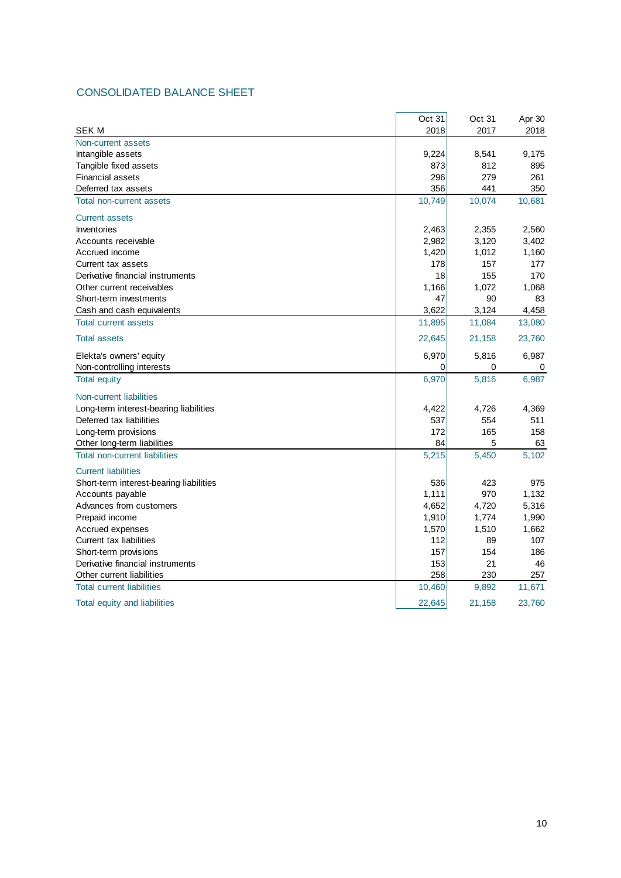## CONSOLIDATED BALANCE SHEET

|                                         | Oct 31 | Oct 31 | Apr 30 |
|-----------------------------------------|--------|--------|--------|
| <b>SEK M</b>                            | 2018   | 2017   | 2018   |
| Non-current assets                      |        |        |        |
| Intangible assets                       | 9,224  | 8,541  | 9,175  |
| Tangible fixed assets                   | 873    | 812    | 895    |
| <b>Financial assets</b>                 | 296    | 279    | 261    |
| Deferred tax assets                     | 356    | 441    | 350    |
| <b>Total non-current assets</b>         | 10,749 | 10,074 | 10,681 |
| <b>Current assets</b>                   |        |        |        |
| Inventories                             | 2,463  | 2,355  | 2,560  |
| Accounts receivable                     | 2,982  | 3,120  | 3,402  |
| Accrued income                          | 1,420  | 1,012  | 1,160  |
| Current tax assets                      | 178    | 157    | 177    |
| Derivative financial instruments        | 18     | 155    | 170    |
| Other current receivables               | 1,166  | 1,072  | 1,068  |
| Short-term investments                  | 47     | 90     | 83     |
| Cash and cash equivalents               | 3,622  | 3,124  | 4,458  |
| <b>Total current assets</b>             | 11,895 | 11,084 | 13,080 |
| <b>Total assets</b>                     | 22,645 | 21,158 | 23,760 |
| Elekta's owners' equity                 | 6,970  | 5,816  | 6,987  |
| Non-controlling interests               | 0      | 0      | 0      |
| <b>Total equity</b>                     | 6,970  | 5,816  | 6,987  |
| Non-current liabilities                 |        |        |        |
| Long-term interest-bearing liabilities  | 4,422  | 4,726  | 4,369  |
| Deferred tax liabilities                | 537    | 554    | 511    |
| Long-term provisions                    | 172    | 165    | 158    |
| Other long-term liabilities             | 84     | 5      | 63     |
| <b>Total non-current liabilities</b>    | 5,215  | 5,450  | 5,102  |
| <b>Current liabilities</b>              |        |        |        |
| Short-term interest-bearing liabilities | 536    | 423    | 975    |
| Accounts payable                        | 1,111  | 970    | 1,132  |
| Advances from customers                 | 4,652  | 4,720  | 5,316  |
| Prepaid income                          | 1,910  | 1,774  | 1,990  |
| Accrued expenses                        | 1,570  | 1,510  | 1,662  |
| Current tax liabilities                 | 112    | 89     | 107    |
| Short-term provisions                   | 157    | 154    | 186    |
| Derivative financial instruments        | 153    | 21     | 46     |
| Other current liabilities               | 258    | 230    | 257    |
| <b>Total current liabilities</b>        | 10,460 | 9,892  | 11,671 |
| Total equity and liabilities            | 22,645 | 21,158 | 23,760 |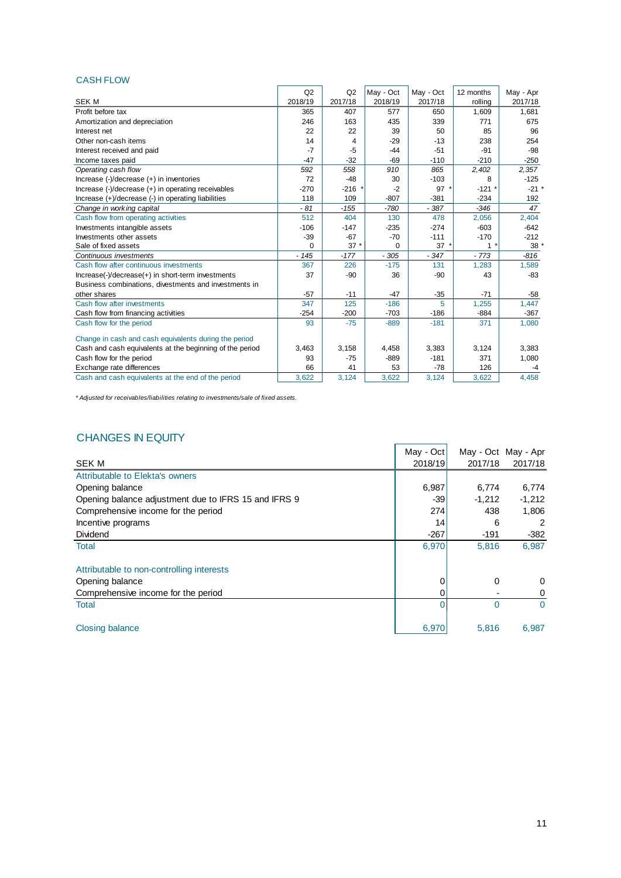#### CASH FLOW

|                                                          | Q2       | Q2      | May - Oct | May - Oct | 12 months | May - Apr |
|----------------------------------------------------------|----------|---------|-----------|-----------|-----------|-----------|
| <b>SEK M</b>                                             | 2018/19  | 2017/18 | 2018/19   | 2017/18   | rolling   | 2017/18   |
| Profit before tax                                        | 365      | 407     | 577       | 650       | 1,609     | 1,681     |
| Amortization and depreciation                            | 246      | 163     | 435       | 339       | 771       | 675       |
| Interest net                                             | 22       | 22      | 39        | 50        | 85        | 96        |
| Other non-cash items                                     | 14       | 4       | $-29$     | $-13$     | 238       | 254       |
| Interest received and paid                               | $-7$     | $-5$    | $-44$     | $-51$     | $-91$     | $-98$     |
| Income taxes paid                                        | $-47$    | $-32$   | $-69$     | $-110$    | $-210$    | $-250$    |
| Operating cash flow                                      | 592      | 558     | 910       | 865       | 2,402     | 2,357     |
| Increase (-)/decrease (+) in inventories                 | 72       | $-48$   | 30        | $-103$    | 8         | $-125$    |
| Increase (-)/decrease (+) in operating receivables       | $-270$   | $-216$  | $-2$      | $97 *$    | $-121$ *  | $-21$ *   |
| Increase (+)/decrease (-) in operating liabilities       | 118      | 109     | $-807$    | $-381$    | $-234$    | 192       |
| Change in working capital                                | $-81$    | $-155$  | $-780$    | $-387$    | $-346$    | 47        |
| Cash flow from operating activities                      | 512      | 404     | 130       | 478       | 2,056     | 2,404     |
| Investments intangible assets                            | $-106$   | $-147$  | $-235$    | $-274$    | $-603$    | $-642$    |
| Investments other assets                                 | $-39$    | $-67$   | $-70$     | $-111$    | $-170$    | $-212$    |
| Sale of fixed assets                                     | $\Omega$ | $37*$   | $\Omega$  | 37'       | 1         | 38        |
| Continuous investments                                   | $-145$   | $-177$  | $-305$    | $-347$    | $-773$    | $-816$    |
| Cash flow after continuous investments                   | 367      | 226     | $-175$    | 131       | 1,283     | 1,589     |
| Increase(-)/decrease(+) in short-term investments        | 37       | $-90$   | 36        | $-90$     | 43        | $-83$     |
| Business combinations, divestments and investments in    |          |         |           |           |           |           |
| other shares                                             | $-57$    | $-11$   | $-47$     | $-35$     | $-71$     | $-58$     |
| Cash flow after investments                              | 347      | 125     | $-186$    | 5         | 1,255     | 1,447     |
| Cash flow from financing activities                      | $-254$   | $-200$  | $-703$    | $-186$    | $-884$    | $-367$    |
| Cash flow for the period                                 | 93       | $-75$   | $-889$    | $-181$    | 371       | 1,080     |
| Change in cash and cash equivalents during the period    |          |         |           |           |           |           |
| Cash and cash equivalents at the beginning of the period | 3,463    | 3,158   | 4,458     | 3,383     | 3,124     | 3,383     |
| Cash flow for the period                                 | 93       | $-75$   | $-889$    | $-181$    | 371       | 1,080     |
| Exchange rate differences                                | 66       | 41      | 53        | $-78$     | 126       | -4        |
| Cash and cash equivalents at the end of the period       | 3.622    | 3,124   | 3.622     | 3,124     | 3.622     | 4.458     |

*\* Adjusted for receivables/liabilities relating to investments/sale of fixed assets.*

## CHANGES IN EQUITY

|                                                      | May - Oct |          | May - Oct May - Apr |
|------------------------------------------------------|-----------|----------|---------------------|
| <b>SEK M</b>                                         | 2018/19   | 2017/18  | 2017/18             |
| Attributable to Elekta's owners                      |           |          |                     |
| Opening balance                                      | 6,987     | 6,774    | 6,774               |
| Opening balance adjustment due to IFRS 15 and IFRS 9 | -39       | $-1,212$ | $-1,212$            |
| Comprehensive income for the period                  | 274       | 438      | 1,806               |
| Incentive programs                                   | 14        | 6        | 2                   |
| <b>Dividend</b>                                      | $-267$    | $-191$   | $-382$              |
| <b>Total</b>                                         | 6,970     | 5,816    | 6,987               |
| Attributable to non-controlling interests            |           |          |                     |
| Opening balance                                      | 0         | 0        | 0                   |
| Comprehensive income for the period                  | 0         |          | 0                   |
| <b>Total</b>                                         | 0         | $\Omega$ | $\Omega$            |
| <b>Closing balance</b>                               | 6,970     | 5,816    | 6,987               |

χ.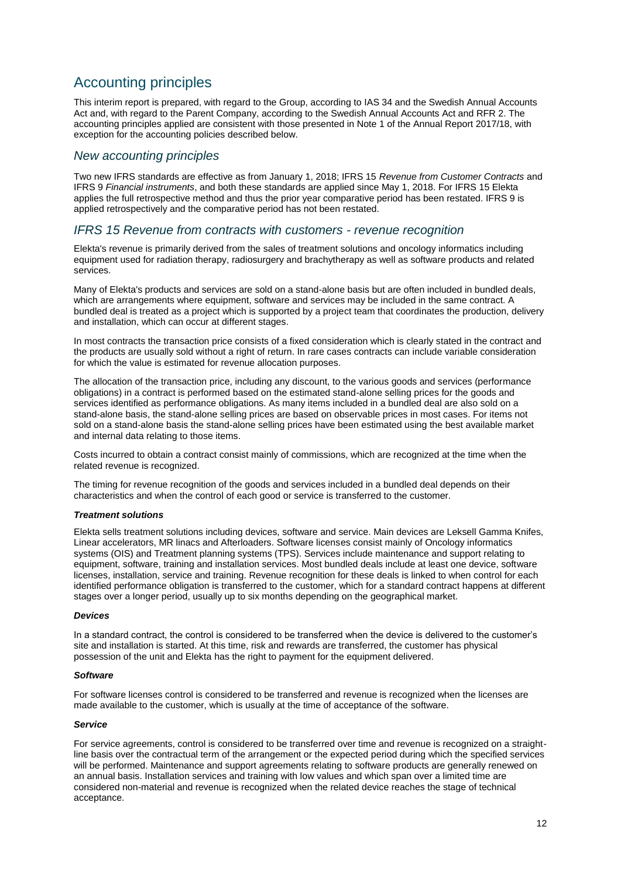# Accounting principles

This interim report is prepared, with regard to the Group, according to IAS 34 and the Swedish Annual Accounts Act and, with regard to the Parent Company, according to the Swedish Annual Accounts Act and RFR 2. The accounting principles applied are consistent with those presented in Note 1 of the Annual Report 2017/18, with exception for the accounting policies described below.

#### *New accounting principles*

Two new IFRS standards are effective as from January 1, 2018; IFRS 15 *Revenue from Customer Contracts* and IFRS 9 *Financial instruments*, and both these standards are applied since May 1, 2018. For IFRS 15 Elekta applies the full retrospective method and thus the prior year comparative period has been restated. IFRS 9 is applied retrospectively and the comparative period has not been restated.

#### *IFRS 15 Revenue from contracts with customers - revenue recognition*

Elekta's revenue is primarily derived from the sales of treatment solutions and oncology informatics including equipment used for radiation therapy, radiosurgery and brachytherapy as well as software products and related services.

Many of Elekta's products and services are sold on a stand-alone basis but are often included in bundled deals, which are arrangements where equipment, software and services may be included in the same contract. A bundled deal is treated as a project which is supported by a project team that coordinates the production, delivery and installation, which can occur at different stages.

In most contracts the transaction price consists of a fixed consideration which is clearly stated in the contract and the products are usually sold without a right of return. In rare cases contracts can include variable consideration for which the value is estimated for revenue allocation purposes.

The allocation of the transaction price, including any discount, to the various goods and services (performance obligations) in a contract is performed based on the estimated stand-alone selling prices for the goods and services identified as performance obligations. As many items included in a bundled deal are also sold on a stand-alone basis, the stand-alone selling prices are based on observable prices in most cases. For items not sold on a stand-alone basis the stand-alone selling prices have been estimated using the best available market and internal data relating to those items.

Costs incurred to obtain a contract consist mainly of commissions, which are recognized at the time when the related revenue is recognized.

The timing for revenue recognition of the goods and services included in a bundled deal depends on their characteristics and when the control of each good or service is transferred to the customer.

#### *Treatment solutions*

Elekta sells treatment solutions including devices, software and service. Main devices are Leksell Gamma Knifes, Linear accelerators, MR linacs and Afterloaders. Software licenses consist mainly of Oncology informatics systems (OIS) and Treatment planning systems (TPS). Services include maintenance and support relating to equipment, software, training and installation services. Most bundled deals include at least one device, software licenses, installation, service and training. Revenue recognition for these deals is linked to when control for each identified performance obligation is transferred to the customer, which for a standard contract happens at different stages over a longer period, usually up to six months depending on the geographical market.

#### *Devices*

In a standard contract, the control is considered to be transferred when the device is delivered to the customer's site and installation is started. At this time, risk and rewards are transferred, the customer has physical possession of the unit and Elekta has the right to payment for the equipment delivered.

#### *Software*

For software licenses control is considered to be transferred and revenue is recognized when the licenses are made available to the customer, which is usually at the time of acceptance of the software.

#### *Service*

For service agreements, control is considered to be transferred over time and revenue is recognized on a straightline basis over the contractual term of the arrangement or the expected period during which the specified services will be performed. Maintenance and support agreements relating to software products are generally renewed on an annual basis. Installation services and training with low values and which span over a limited time are considered non-material and revenue is recognized when the related device reaches the stage of technical acceptance.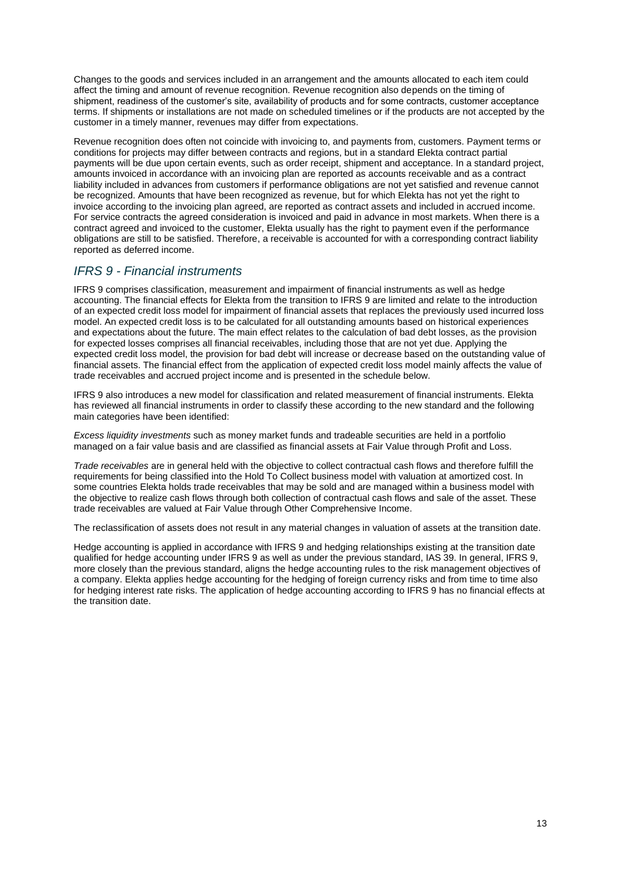Changes to the goods and services included in an arrangement and the amounts allocated to each item could affect the timing and amount of revenue recognition. Revenue recognition also depends on the timing of shipment, readiness of the customer's site, availability of products and for some contracts, customer acceptance terms. If shipments or installations are not made on scheduled timelines or if the products are not accepted by the customer in a timely manner, revenues may differ from expectations.

Revenue recognition does often not coincide with invoicing to, and payments from, customers. Payment terms or conditions for projects may differ between contracts and regions, but in a standard Elekta contract partial payments will be due upon certain events, such as order receipt, shipment and acceptance. In a standard project, amounts invoiced in accordance with an invoicing plan are reported as accounts receivable and as a contract liability included in advances from customers if performance obligations are not yet satisfied and revenue cannot be recognized. Amounts that have been recognized as revenue, but for which Elekta has not yet the right to invoice according to the invoicing plan agreed, are reported as contract assets and included in accrued income. For service contracts the agreed consideration is invoiced and paid in advance in most markets. When there is a contract agreed and invoiced to the customer, Elekta usually has the right to payment even if the performance obligations are still to be satisfied. Therefore, a receivable is accounted for with a corresponding contract liability reported as deferred income.

## *IFRS 9 - Financial instruments*

IFRS 9 comprises classification, measurement and impairment of financial instruments as well as hedge accounting. The financial effects for Elekta from the transition to IFRS 9 are limited and relate to the introduction of an expected credit loss model for impairment of financial assets that replaces the previously used incurred loss model. An expected credit loss is to be calculated for all outstanding amounts based on historical experiences and expectations about the future. The main effect relates to the calculation of bad debt losses, as the provision for expected losses comprises all financial receivables, including those that are not yet due. Applying the expected credit loss model, the provision for bad debt will increase or decrease based on the outstanding value of financial assets. The financial effect from the application of expected credit loss model mainly affects the value of trade receivables and accrued project income and is presented in the schedule below.

IFRS 9 also introduces a new model for classification and related measurement of financial instruments. Elekta has reviewed all financial instruments in order to classify these according to the new standard and the following main categories have been identified:

*Excess liquidity investments* such as money market funds and tradeable securities are held in a portfolio managed on a fair value basis and are classified as financial assets at Fair Value through Profit and Loss.

*Trade receivables* are in general held with the objective to collect contractual cash flows and therefore fulfill the requirements for being classified into the Hold To Collect business model with valuation at amortized cost. In some countries Elekta holds trade receivables that may be sold and are managed within a business model with the objective to realize cash flows through both collection of contractual cash flows and sale of the asset. These trade receivables are valued at Fair Value through Other Comprehensive Income.

The reclassification of assets does not result in any material changes in valuation of assets at the transition date.

Hedge accounting is applied in accordance with IFRS 9 and hedging relationships existing at the transition date qualified for hedge accounting under IFRS 9 as well as under the previous standard, IAS 39. In general, IFRS 9, more closely than the previous standard, aligns the hedge accounting rules to the risk management objectives of a company. Elekta applies hedge accounting for the hedging of foreign currency risks and from time to time also for hedging interest rate risks. The application of hedge accounting according to IFRS 9 has no financial effects at the transition date.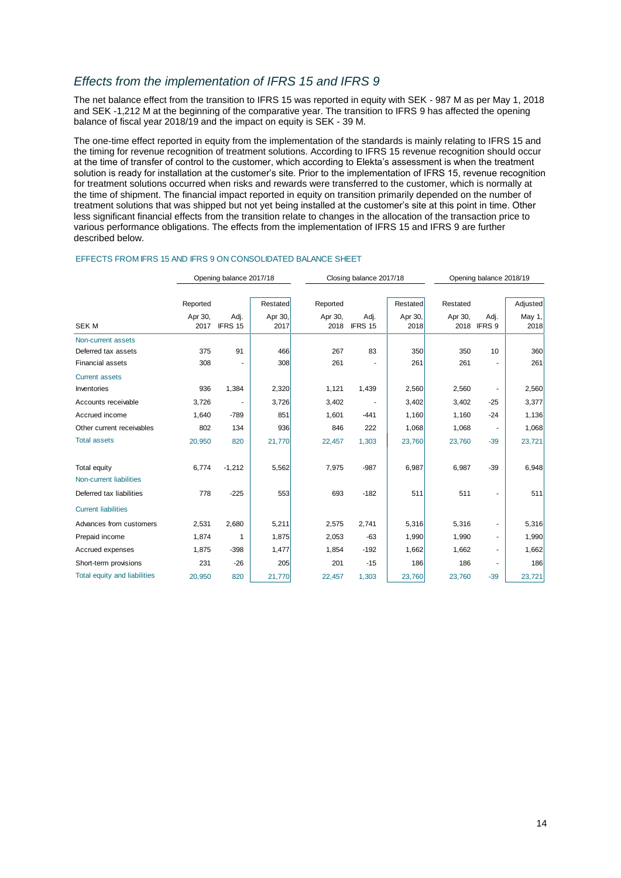## *Effects from the implementation of IFRS 15 and IFRS 9*

The net balance effect from the transition to IFRS 15 was reported in equity with SEK - 987 M as per May 1, 2018 and SEK -1,212 M at the beginning of the comparative year. The transition to IFRS 9 has affected the opening balance of fiscal year 2018/19 and the impact on equity is SEK - 39 M.

The one-time effect reported in equity from the implementation of the standards is mainly relating to IFRS 15 and the timing for revenue recognition of treatment solutions. According to IFRS 15 revenue recognition should occur at the time of transfer of control to the customer, which according to Elekta's assessment is when the treatment solution is ready for installation at the customer's site. Prior to the implementation of IFRS 15, revenue recognition for treatment solutions occurred when risks and rewards were transferred to the customer, which is normally at the time of shipment. The financial impact reported in equity on transition primarily depended on the number of treatment solutions that was shipped but not yet being installed at the customer's site at this point in time. Other less significant financial effects from the transition relate to changes in the allocation of the transaction price to various performance obligations. The effects from the implementation of IFRS 15 and IFRS 9 are further described below.

|                                     |                 | Opening balance 2017/18 |                 |                 | Closing balance 2017/18 |                 | Opening balance 2018/19 |                     |                |  |
|-------------------------------------|-----------------|-------------------------|-----------------|-----------------|-------------------------|-----------------|-------------------------|---------------------|----------------|--|
|                                     | Reported        |                         | Restated        | Reported        |                         | Restated        | Restated                |                     | Adjusted       |  |
| <b>SEK M</b>                        | Apr 30,<br>2017 | Adj.<br>IFRS 15         | Apr 30,<br>2017 | Apr 30,<br>2018 | Adj.<br>IFRS 15         | Apr 30,<br>2018 | Apr 30,                 | Adj.<br>2018 IFRS 9 | May 1,<br>2018 |  |
| Non-current assets                  |                 |                         |                 |                 |                         |                 |                         |                     |                |  |
| Deferred tax assets                 | 375             | 91                      | 466             | 267             | 83                      | 350             | 350                     | 10                  | 360            |  |
| <b>Financial assets</b>             | 308             |                         | 308             | 261             |                         | 261             | 261                     |                     | 261            |  |
| <b>Current assets</b>               |                 |                         |                 |                 |                         |                 |                         |                     |                |  |
| Inventories                         | 936             | 1,384                   | 2,320           | 1,121           | 1,439                   | 2,560           | 2,560                   |                     | 2,560          |  |
| Accounts receivable                 | 3,726           |                         | 3,726           | 3,402           |                         | 3,402           | 3,402                   | $-25$               | 3,377          |  |
| Accrued income                      | 1,640           | $-789$                  | 851             | 1,601           | $-441$                  | 1,160           | 1,160                   | $-24$               | 1,136          |  |
| Other current receivables           | 802             | 134                     | 936             | 846             | 222                     | 1,068           | 1,068                   |                     | 1,068          |  |
| <b>Total assets</b>                 | 20,950          | 820                     | 21,770          | 22,457          | 1,303                   | 23,760          | 23,760                  | $-39$               | 23,721         |  |
| <b>Total equity</b>                 | 6,774           | $-1,212$                | 5,562           | 7,975           | $-987$                  | 6,987           | 6,987                   | $-39$               | 6,948          |  |
| Non-current liabilities             |                 |                         |                 |                 |                         |                 |                         |                     |                |  |
| Deferred tax liabilities            | 778             | $-225$                  | 553             | 693             | $-182$                  | 511             | 511                     |                     | 511            |  |
| <b>Current liabilities</b>          |                 |                         |                 |                 |                         |                 |                         |                     |                |  |
| Advances from customers             | 2,531           | 2,680                   | 5,211           | 2,575           | 2,741                   | 5,316           | 5,316                   |                     | 5,316          |  |
| Prepaid income                      | 1,874           | 1                       | 1,875           | 2,053           | $-63$                   | 1,990           | 1,990                   |                     | 1,990          |  |
| Accrued expenses                    | 1,875           | $-398$                  | 1,477           | 1,854           | $-192$                  | 1,662           | 1,662                   |                     | 1,662          |  |
| Short-term provisions               | 231             | $-26$                   | 205             | 201             | $-15$                   | 186             | 186                     |                     | 186            |  |
| <b>Total equity and liabilities</b> | 20,950          | 820                     | 21,770          | 22,457          | 1,303                   | 23,760          | 23,760                  | $-39$               | 23,721         |  |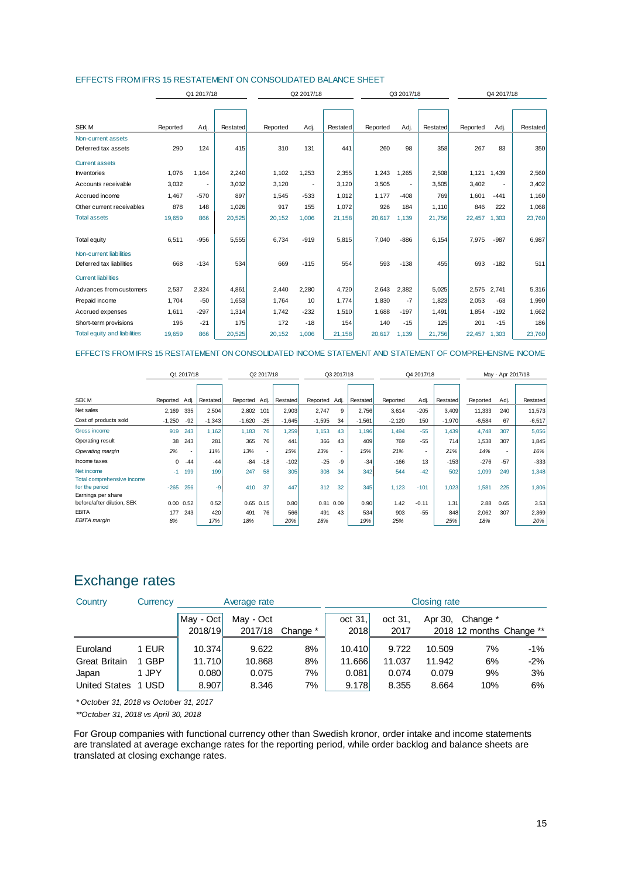| EFFECTS FROM IFRS 15 RESTATEMENT ON CONSOLIDATED BALANCE SHEET |  |
|----------------------------------------------------------------|--|
|----------------------------------------------------------------|--|

|                                     |          | Q1 2017/18 |          |          | Q2 2017/18               |          |          | Q3 2017/18               |          |             | Q4 2017/18  |          |  |
|-------------------------------------|----------|------------|----------|----------|--------------------------|----------|----------|--------------------------|----------|-------------|-------------|----------|--|
|                                     |          |            |          |          |                          |          |          |                          |          |             |             |          |  |
|                                     |          |            |          |          |                          |          |          |                          |          |             |             |          |  |
| <b>SEK M</b>                        | Reported | Adj.       | Restated | Reported | Adj.                     | Restated | Reported | Adj.                     | Restated | Reported    | Adj.        | Restated |  |
| Non-current assets                  |          |            |          |          |                          |          |          |                          |          |             |             |          |  |
| Deferred tax assets                 | 290      | 124        | 415      | 310      | 131                      | 441      | 260      | 98                       | 358      | 267         | 83          | 350      |  |
| <b>Current assets</b>               |          |            |          |          |                          |          |          |                          |          |             |             |          |  |
| Inventories                         | 1,076    | 1.164      | 2,240    | 1,102    | 1,253                    | 2,355    | 1,243    | 1,265                    | 2,508    |             | 1,121 1,439 | 2,560    |  |
| Accounts receivable                 | 3,032    |            | 3,032    | 3,120    | $\overline{\phantom{a}}$ | 3,120    | 3,505    | $\overline{\phantom{a}}$ | 3,505    | 3,402       | ٠           | 3,402    |  |
| Accrued income                      | 1,467    | $-570$     | 897      | 1,545    | $-533$                   | 1,012    | 1,177    | $-408$                   | 769      | 1,601       | $-441$      | 1,160    |  |
| Other current receivables           | 878      | 148        | 1,026    | 917      | 155                      | 1,072    | 926      | 184                      | 1.110    | 846         | 222         | 1,068    |  |
| <b>Total assets</b>                 | 19,659   | 866        | 20,525   | 20,152   | 1,006                    | 21,158   | 20,617   | 1,139                    | 21,756   | 22,457      | 1,303       | 23,760   |  |
|                                     |          |            |          |          |                          |          |          |                          |          |             |             |          |  |
| Total equity                        | 6,511    | $-956$     | 5,555    | 6,734    | $-919$                   | 5,815    | 7,040    | $-886$                   | 6,154    | 7,975       | $-987$      | 6,987    |  |
| Non-current liabilities             |          |            |          |          |                          |          |          |                          |          |             |             |          |  |
| Deferred tax liabilities            | 668      | $-134$     | 534      | 669      | $-115$                   | 554      | 593      | $-138$                   | 455      | 693         | $-182$      | 511      |  |
| <b>Current liabilities</b>          |          |            |          |          |                          |          |          |                          |          |             |             |          |  |
| Advances from customers             | 2,537    | 2,324      | 4,861    | 2,440    | 2,280                    | 4,720    | 2,643    | 2,382                    | 5,025    | 2,575 2,741 |             | 5,316    |  |
| Prepaid income                      | 1,704    | $-50$      | 1,653    | 1,764    | 10                       | 1,774    | 1,830    | $-7$                     | 1,823    | 2,053       | $-63$       | 1,990    |  |
| Accrued expenses                    | 1,611    | $-297$     | 1,314    | 1,742    | $-232$                   | 1,510    | 1,688    | $-197$                   | 1,491    | 1,854       | $-192$      | 1,662    |  |
| Short-term provisions               | 196      | $-21$      | 175      | 172      | $-18$                    | 154      | 140      | $-15$                    | 125      | 201         | $-15$       | 186      |  |
| <b>Total equity and liabilities</b> | 19,659   | 866        | 20,525   | 20,152   | 1,006                    | 21,158   | 20,617   | 1,139                    | 21,756   | 22,457      | 1,303       | 23,760   |  |

#### EFFECTS FROM IFRS 15 RESTATEMENT ON CONSOLIDATED INCOME STATEMENT AND STATEMENT OF COMPREHENSIVE INCOME

|                                                  | Q1 2017/18    |                   |                 | Q2 2017/18    |       | Q3 2017/18 |               | Q4 2017/18 |          |          | May - Apr 2017/18 |                 |          |       |          |
|--------------------------------------------------|---------------|-------------------|-----------------|---------------|-------|------------|---------------|------------|----------|----------|-------------------|-----------------|----------|-------|----------|
|                                                  |               |                   |                 |               |       |            |               |            |          |          |                   |                 |          |       |          |
| SEK M                                            | Reported Adj. |                   | <b>Restated</b> | Reported      | Adj.  | Restated   | Reported Adj. |            | Restated | Reported | Adj.              | <b>Restated</b> | Reported | Adj.  | Restated |
| Net sales                                        | 2,169         | 335               | 2,504           | 2,802         | 101   | 2,903      | 2,747         | 9          | 2,756    | 3,614    | $-205$            | 3,409           | 11,333   | 240   | 11,573   |
| Cost of products sold                            | $-1,250$      | $-92$             | $-1,343$        | $-1,620$      | $-25$ | $-1,645$   | $-1,595$      | 34         | $-1,561$ | $-2,120$ | 150               | $-1,970$        | $-6,584$ | 67    | $-6,517$ |
| Gross income                                     | 919           | 243               | 1,162           | 1,183         | 76    | 1,259      | 1,153         | 43         | 1,196    | 1,494    | $-55$             | 1,439           | 4,748    | 307   | 5,056    |
| Operating result                                 | 38            | 243               | 281             | 365           | 76    | 441        | 366           | 43         | 409      | 769      | $-55$             | 714             | 1,538    | 307   | 1,845    |
| Operating margin                                 | 2%            | ٠                 | 11%             | 13%           | ۰.    | 15%        | 13%           | $\sim$     | 15%      | 21%      | ٠                 | 21%             | 14%      | ÷.    | 16%      |
| Income taxes                                     | 0             | $-44$             | $-44$           | $-84$         | $-18$ | $-102$     | $-25$         | $-9$       | $-34$    | $-166$   | 13                | $-153$          | $-276$   | $-57$ | $-333$   |
| Net income                                       | $-1$          | 199               | 199             | 247           | 58    | 305        | 308           | 34         | 342      | 544      | $-42$             | 502             | 1,099    | 249   | 1,348    |
| Total comprehensive income<br>for the period     | $-265$        | 256               | -9              | 410           | 37    | 447        | 312           | 32         | 345      | 1,123    | $-101$            | 1,023           | 1,581    | 225   | 1,806    |
| Earnings per share<br>before/after dilution, SEK |               | $0.00 \quad 0.52$ | 0.52            | $0.65$ $0.15$ |       | 0.80       | 0.81          | 0.09       | 0.90     | 1.42     | $-0.11$           | 1.31            | 2.88     | 0.65  | 3.53     |
| <b>EBITA</b>                                     | 177           | 243               | 420             | 491           | 76    | 566        | 491           | 43         | 534      | 903      | $-55$             | 848             | 2,062    | 307   | 2,369    |
| EBITA margin                                     | 8%            |                   | 17%             | 18%           |       | 20%        | 18%           |            | 19%      | 25%      |                   | 25%             | 18%      |       | 20%      |

# Exchange rates

| Country              | Currency   |             | Average rate |          |         |         | Closing rate |                          |        |
|----------------------|------------|-------------|--------------|----------|---------|---------|--------------|--------------------------|--------|
|                      |            | May - Oct l | May - Oct    |          | oct 31. | oct 31, | Apr 30,      | Change *                 |        |
|                      |            | 2018/19     | 2017/18      | Change * | 2018    | 2017    |              | 2018 12 months Change ** |        |
| Euroland             | <b>EUR</b> | 10.374      | 9.622        | 8%       | 10.410  | 9.722   | 10.509       | 7%                       | -1%    |
| <b>Great Britain</b> | 1 GBP      | 11.710      | 10.868       | 8%       | 11.666  | 11.037  | 11.942       | 6%                       | $-2\%$ |
| Japan                | JPY        | 0.080       | 0.075        | 7%       | 0.081   | 0.074   | 0.079        | 9%                       | 3%     |
| <b>United States</b> | 1 USD      | 8.907       | 8.346        | 7%       | 9.178   | 8.355   | 8.664        | 10%                      | 6%     |

*\* October 31, 2018 vs October 31, 2017*

*\*\*October 31, 2018 vs April 30, 2018*

For Group companies with functional currency other than Swedish kronor, order intake and income statements are translated at average exchange rates for the reporting period, while order backlog and balance sheets are translated at closing exchange rates.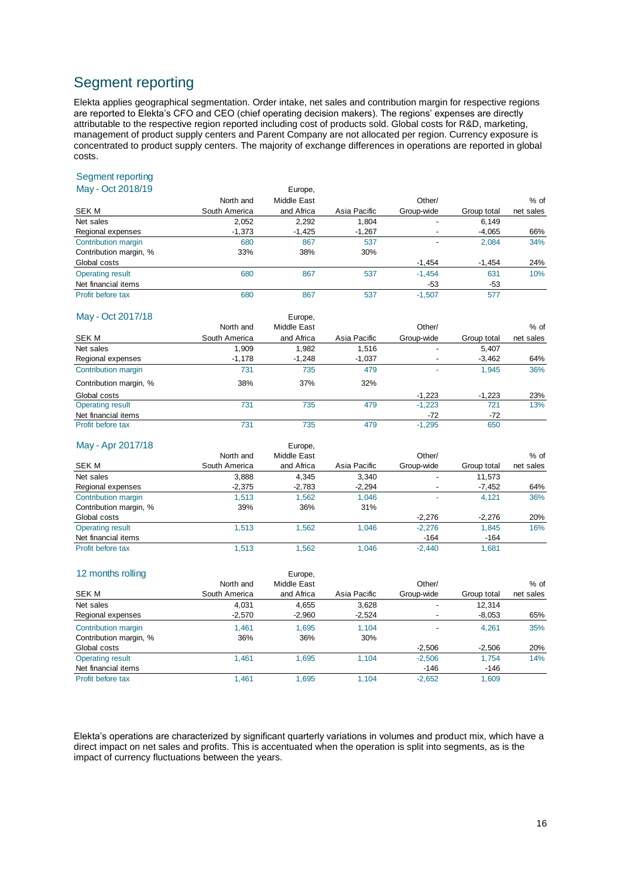# Segment reporting

Elekta applies geographical segmentation. Order intake, net sales and contribution margin for respective regions are reported to Elekta's CFO and CEO (chief operating decision makers). The regions' expenses are directly attributable to the respective region reported including cost of products sold. Global costs for R&D, marketing, management of product supply centers and Parent Company are not allocated per region. Currency exposure is concentrated to product supply centers. The majority of exchange differences in operations are reported in global costs.

## Segment reporting

| May - Oct 2018/19       |               | Europe,     |              |            |             |           |  |  |
|-------------------------|---------------|-------------|--------------|------------|-------------|-----------|--|--|
|                         | North and     | Middle East |              | Other/     |             | $%$ of    |  |  |
| SEK M                   | South America | and Africa  | Asia Pacific | Group-wide | Group total | net sales |  |  |
| Net sales               | 2,052         | 2,292       | 1,804        |            | 6,149       |           |  |  |
| Regional expenses       | $-1,373$      | $-1,425$    | $-1,267$     |            | $-4,065$    | 66%       |  |  |
| Contribution margin     | 680           | 867         | 537          | ٠          | 2,084       | 34%       |  |  |
| Contribution margin, %  | 33%           | 38%         | 30%          |            |             |           |  |  |
| Global costs            |               |             |              | $-1,454$   | $-1,454$    | 24%       |  |  |
| <b>Operating result</b> | 680           | 867         | 537          | $-1,454$   | 631         | 10%       |  |  |
| Net financial items     |               |             |              | -53        | -53         |           |  |  |
| Profit before tax       | 680           | 867         | 537          | $-1.507$   | 577         |           |  |  |

| May - Oct 2017/18       |               | Europe,     |              |                          |             |           |
|-------------------------|---------------|-------------|--------------|--------------------------|-------------|-----------|
|                         | North and     | Middle East |              | Other/                   |             | $%$ of    |
| SEK M                   | South America | and Africa  | Asia Pacific | Group-wide               | Group total | net sales |
| Net sales               | 1.909         | 1.982       | 1.516        | ٠                        | 5.407       |           |
| Regional expenses       | $-1,178$      | $-1.248$    | $-1,037$     | $\overline{\phantom{a}}$ | $-3,462$    | 64%       |
| Contribution margin     | 731           | 735         | 479          |                          | 1.945       | 36%       |
| Contribution margin, %  | 38%           | 37%         | 32%          |                          |             |           |
| Global costs            |               |             |              | $-1.223$                 | $-1.223$    | 23%       |
| <b>Operating result</b> | 731           | 735         | 479          | $-1,223$                 | 721         | 13%       |
| Net financial items     |               |             |              | $-72$                    | $-72$       |           |
| Profit before tax       | 731           | 735         | 479          | $-1,295$                 | 650         |           |

| May - Apr 2017/18       |               | Europe,     |              |            |             |           |
|-------------------------|---------------|-------------|--------------|------------|-------------|-----------|
|                         | North and     | Middle East |              | Other/     |             | $%$ of    |
| SEK M                   | South America | and Africa  | Asia Pacific | Group-wide | Group total | net sales |
| Net sales               | 3,888         | 4.345       | 3,340        | -          | 11,573      |           |
| Regional expenses       | $-2,375$      | $-2,783$    | $-2,294$     |            | -7,452      | 64%       |
| Contribution margin     | 1.513         | 1.562       | 1.046        |            | 4.121       | 36%       |
| Contribution margin, %  | 39%           | 36%         | 31%          |            |             |           |
| Global costs            |               |             |              | $-2,276$   | $-2,276$    | 20%       |
| <b>Operating result</b> | 1.513         | 1.562       | 1.046        | $-2,276$   | 1.845       | 16%       |
| Net financial items     |               |             |              | $-164$     | $-164$      |           |
| Profit before tax       | 1.513         | 1.562       | 1.046        | $-2.440$   | 1.681       |           |

| 12 months rolling       |               | Europe,     |              |                          |             |           |
|-------------------------|---------------|-------------|--------------|--------------------------|-------------|-----------|
|                         | North and     | Middle East |              | Other/                   |             | $%$ of    |
| SEK M                   | South America | and Africa  | Asia Pacific | Group-wide               | Group total | net sales |
| Net sales               | 4.031         | 4,655       | 3,628        | -                        | 12.314      |           |
| Regional expenses       | $-2,570$      | $-2,960$    | $-2,524$     | $\overline{\phantom{a}}$ | $-8,053$    | 65%       |
| Contribution margin     | 1.461         | 1.695       | 1.104        | $\overline{\phantom{a}}$ | 4.261       | 35%       |
| Contribution margin, %  | 36%           | 36%         | 30%          |                          |             |           |
| Global costs            |               |             |              | $-2,506$                 | $-2,506$    | 20%       |
| <b>Operating result</b> | 1.461         | 1.695       | 1.104        | $-2,506$                 | 1.754       | 14%       |
| Net financial items     |               |             |              | $-146$                   | $-146$      |           |
| Profit before tax       | 1.461         | 1.695       | 1.104        | $-2,652$                 | 1.609       |           |

Elekta's operations are characterized by significant quarterly variations in volumes and product mix, which have a direct impact on net sales and profits. This is accentuated when the operation is split into segments, as is the impact of currency fluctuations between the years.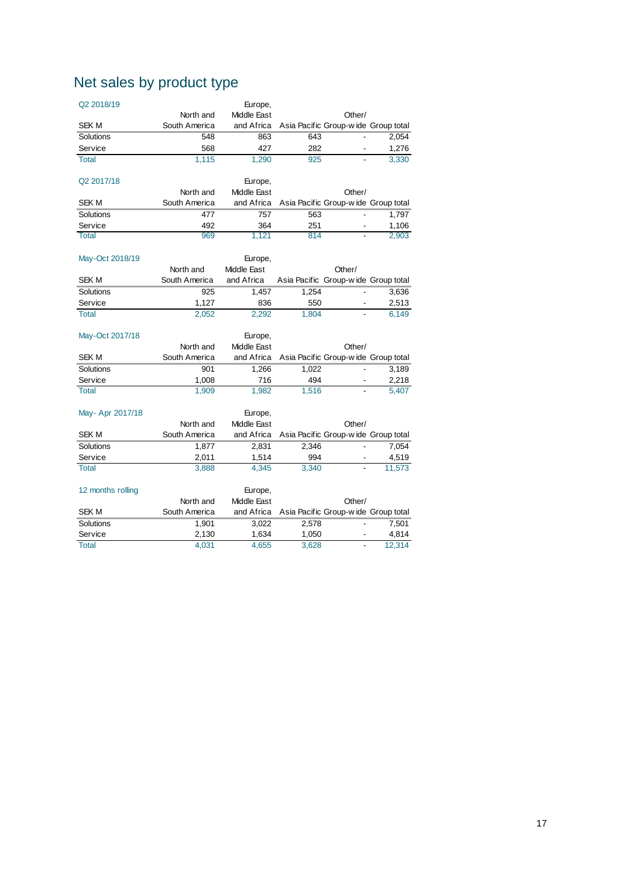# Net sales by product type

| Q2 2018/19        |               | Europe,                |                                     |        |        |
|-------------------|---------------|------------------------|-------------------------------------|--------|--------|
|                   | North and     | Middle East            |                                     | Other/ |        |
| <b>SEKM</b>       | South America | and Africa             | Asia Pacific Group-wide Group total |        |        |
| Solutions         | 548           | 863                    | 643                                 |        | 2,054  |
| Service           | 568           | 427                    | 282                                 |        | 1,276  |
| <b>Total</b>      | 1,115         | 1,290                  | 925                                 |        | 3,330  |
|                   |               |                        |                                     |        |        |
| Q2 2017/18        |               | Europe,                |                                     |        |        |
|                   | North and     | Middle East            |                                     | Other/ |        |
| <b>SEKM</b>       | South America | and Africa             | Asia Pacific Group-wide Group total |        |        |
| Solutions         | 477           | 757                    | 563                                 |        | 1,797  |
| Service           | 492           | 364                    | 251                                 |        | 1,106  |
| <b>Total</b>      | 969           | 1,121                  | 814                                 |        | 2,903  |
|                   |               |                        |                                     |        |        |
| May-Oct 2018/19   |               | Europe,                |                                     |        |        |
|                   | North and     | Middle East            |                                     | Other/ |        |
| <b>SEKM</b>       | South America | and Africa             | Asia Pacific Group-wide Group total |        |        |
| Solutions         | 925           | 1,457                  | 1,254                               |        | 3,636  |
| Service           | 1,127         | 836                    | 550                                 |        | 2,513  |
| <b>Total</b>      | 2,052         | 2,292                  | 1,804                               |        | 6,149  |
|                   |               |                        |                                     |        |        |
| May-Oct 2017/18   |               | Europe,                |                                     |        |        |
|                   | North and     | Middle East            |                                     | Other/ |        |
| <b>SEK M</b>      | South America | and Africa             | Asia Pacific Group-wide Group total |        |        |
| Solutions         | 901           | 1,266                  | 1,022                               |        | 3,189  |
| Service           | 1,008         | 716                    |                                     |        |        |
| <b>Total</b>      |               |                        | 494                                 |        | 2,218  |
|                   | 1,909         | 1,982                  | 1,516                               |        | 5,407  |
|                   |               |                        |                                     |        |        |
| May- Apr 2017/18  |               | Europe,                |                                     |        |        |
|                   | North and     | Middle East            |                                     | Other/ |        |
| <b>SEKM</b>       | South America | and Africa             | Asia Pacific Group-wide Group total |        |        |
| Solutions         | 1,877         | 2,831                  | 2,346                               |        | 7,054  |
| Service           | 2,011         | 1,514                  | 994                                 |        | 4,519  |
| <b>Total</b>      | 3,888         | 4,345                  | 3,340                               |        | 11,573 |
|                   |               |                        |                                     |        |        |
| 12 months rolling | North and     | Europe,<br>Middle East |                                     | Other/ |        |
| <b>SEKM</b>       | South America | and Africa             | Asia Pacific Group-wide Group total |        |        |
| Solutions         | 1,901         | 3,022                  | 2,578                               |        | 7,501  |
| Service           | 2,130         | 1,634                  | 1,050                               |        | 4,814  |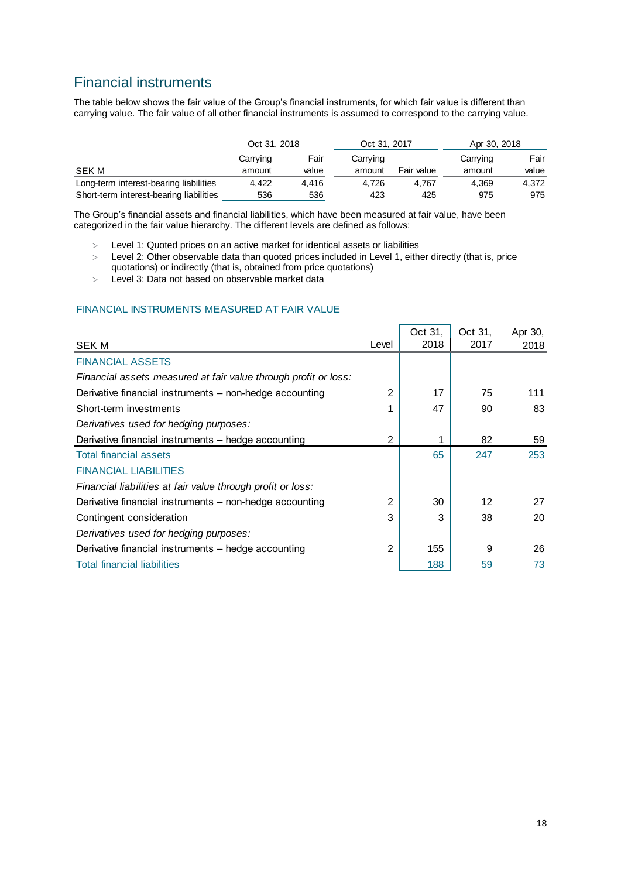# Financial instruments

The table below shows the fair value of the Group's financial instruments, for which fair value is different than carrying value. The fair value of all other financial instruments is assumed to correspond to the carrying value.

|                                         | Oct 31, 2018     |       | Oct 31, 2017 |            | Apr 30, 2018 |       |  |
|-----------------------------------------|------------------|-------|--------------|------------|--------------|-------|--|
|                                         | Carrying         | Fairl | Carrying     |            |              | Fair  |  |
| <b>SEK M</b>                            | valuel<br>amount |       | amount       | Fair value | amount       | value |  |
| Long-term interest-bearing liabilities  | 4,422            | 4,416 | 4.726        | 4.767      | 4.369        | 4.372 |  |
| Short-term interest-bearing liabilities | 536              | 536   | 423          | 425        | 975          | 975   |  |

The Group's financial assets and financial liabilities, which have been measured at fair value, have been categorized in the fair value hierarchy. The different levels are defined as follows:

- Level 1: Quoted prices on an active market for identical assets or liabilities
- > Level 2: Other observable data than quoted prices included in Level 1, either directly (that is, price quotations) or indirectly (that is, obtained from price quotations)
- Level 3: Data not based on observable market data

#### FINANCIAL INSTRUMENTS MEASURED AT FAIR VALUE

|                                                                 |                | Oct 31. | Oct 31.           | Apr 30, |
|-----------------------------------------------------------------|----------------|---------|-------------------|---------|
| SEK M                                                           | Level          | 2018    | 2017              | 2018    |
| <b>FINANCIAL ASSETS</b>                                         |                |         |                   |         |
| Financial assets measured at fair value through profit or loss: |                |         |                   |         |
| Derivative financial instruments – non-hedge accounting         | $\overline{2}$ | 17      | 75                | 111     |
| Short-term investments                                          |                | 47      | 90                | 83      |
| Derivatives used for hedging purposes:                          |                |         |                   |         |
| Derivative financial instruments - hedge accounting             | $\overline{2}$ |         | 82                | 59      |
| <b>Total financial assets</b>                                   |                | 65      | 247               | 253     |
| <b>FINANCIAL LIABILITIES</b>                                    |                |         |                   |         |
| Financial liabilities at fair value through profit or loss:     |                |         |                   |         |
| Derivative financial instruments – non-hedge accounting         | 2              | 30      | $12 \overline{ }$ | 27      |
| Contingent consideration                                        | 3              | 3       | 38                | 20      |
| Derivatives used for hedging purposes:                          |                |         |                   |         |
| Derivative financial instruments - hedge accounting             | 2              | 155     | 9                 | 26      |
| <b>Total financial liabilities</b>                              |                | 188     | 59                | 73      |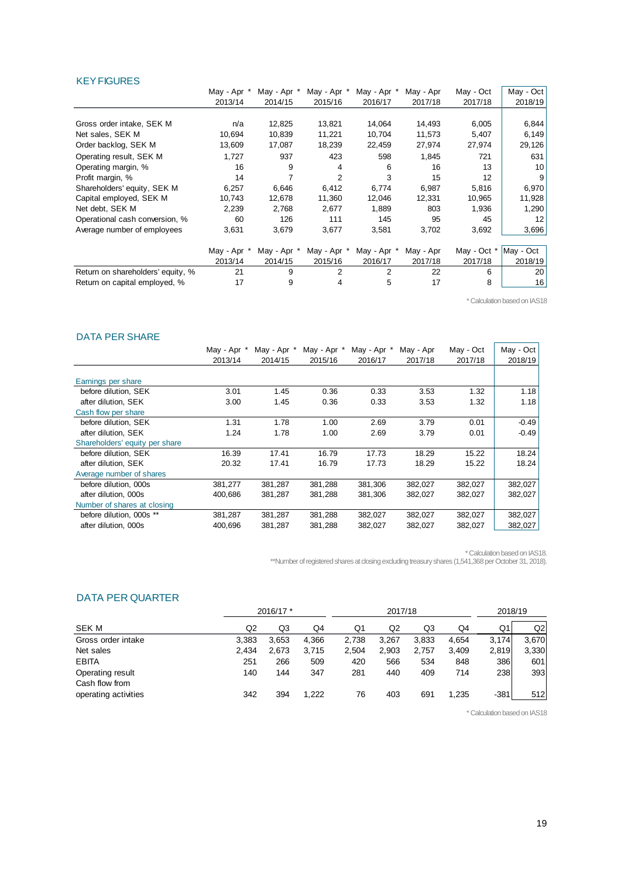#### **KEY FIGURES**

|                                   | May - Apr * | May - Apr * | May - Apr * | May - Apr * | May - Apr | May - Oct   | May - Oct |
|-----------------------------------|-------------|-------------|-------------|-------------|-----------|-------------|-----------|
|                                   | 2013/14     | 2014/15     | 2015/16     | 2016/17     | 2017/18   | 2017/18     | 2018/19   |
|                                   |             |             |             |             |           |             |           |
| Gross order intake, SEK M         | n/a         | 12,825      | 13,821      | 14,064      | 14,493    | 6,005       | 6,844     |
| Net sales, SEK M                  | 10,694      | 10,839      | 11,221      | 10,704      | 11,573    | 5,407       | 6,149     |
| Order backlog, SEK M              | 13,609      | 17,087      | 18,239      | 22,459      | 27,974    | 27,974      | 29,126    |
| Operating result, SEK M           | 1,727       | 937         | 423         | 598         | 1,845     | 721         | 631       |
| Operating margin, %               | 16          | 9           | 4           | 6           | 16        | 13          | 10        |
| Profit margin, %                  | 14          |             | 2           | 3           | 15        | 12          | 9         |
| Shareholders' equity, SEK M       | 6,257       | 6,646       | 6,412       | 6,774       | 6,987     | 5,816       | 6,970     |
| Capital employed, SEK M           | 10,743      | 12,678      | 11,360      | 12,046      | 12,331    | 10,965      | 11,928    |
| Net debt, SEK M                   | 2,239       | 2,768       | 2,677       | 1.889       | 803       | 1.936       | 1,290     |
| Operational cash conversion, %    | 60          | 126         | 111         | 145         | 95        | 45          | 12        |
| Average number of employees       | 3,631       | 3,679       | 3,677       | 3,581       | 3,702     | 3,692       | 3,696     |
|                                   | May - Apr * | May - Apr * | May - Apr   | May - Apr   | May - Apr | May - Oct * | May - Oct |
|                                   | 2013/14     | 2014/15     | 2015/16     | 2016/17     | 2017/18   | 2017/18     | 2018/19   |
| Return on shareholders' equity, % | 21          | 9           |             | 2           | 22        | 6           | 20        |
| Return on capital employed, %     | 17          | 9           | 4           | 5           | 17        | 8           | 16        |

\* Calculation based on IAS18

#### DATA PER SHARE

| PAIA LEN VERNE                 |             |             |             |             |           |           |           |
|--------------------------------|-------------|-------------|-------------|-------------|-----------|-----------|-----------|
|                                | May - Apr * | May - Apr * | May - Apr * | May - Apr * | May - Apr | May - Oct | May - Oct |
|                                | 2013/14     | 2014/15     | 2015/16     | 2016/17     | 2017/18   | 2017/18   | 2018/19   |
|                                |             |             |             |             |           |           |           |
| Earnings per share             |             |             |             |             |           |           |           |
| before dilution, SEK           | 3.01        | 1.45        | 0.36        | 0.33        | 3.53      | 1.32      | 1.18      |
| after dilution, SEK            | 3.00        | 1.45        | 0.36        | 0.33        | 3.53      | 1.32      | 1.18      |
| Cash flow per share            |             |             |             |             |           |           |           |
| before dilution. SEK           | 1.31        | 1.78        | 1.00        | 2.69        | 3.79      | 0.01      | $-0.49$   |
| after dilution, SEK            | 1.24        | 1.78        | 1.00        | 2.69        | 3.79      | 0.01      | $-0.49$   |
| Shareholders' equity per share |             |             |             |             |           |           |           |
| before dilution. SEK           | 16.39       | 17.41       | 16.79       | 17.73       | 18.29     | 15.22     | 18.24     |
| after dilution. SEK            | 20.32       | 17.41       | 16.79       | 17.73       | 18.29     | 15.22     | 18.24     |
| Average number of shares       |             |             |             |             |           |           |           |
| before dilution. 000s          | 381,277     | 381,287     | 381,288     | 381,306     | 382,027   | 382,027   | 382,027   |
| after dilution, 000s           | 400,686     | 381,287     | 381,288     | 381,306     | 382,027   | 382,027   | 382,027   |
| Number of shares at closing    |             |             |             |             |           |           |           |
| before dilution, 000s **       | 381,287     | 381,287     | 381,288     | 382,027     | 382,027   | 382,027   | 382,027   |
| after dilution, 000s           | 400,696     | 381,287     | 381,288     | 382,027     | 382,027   | 382,027   | 382,027   |
|                                |             |             |             |             |           |           |           |

\* Calculation based on IAS18.

\*\*Number of registered shares at closing excluding treasury shares (1,541,368 per October 31, 2018).

#### DATA PER QUARTER

|                                    | 2016/17 * |       | 2017/18 |       |                |       | 2018/19 |        |       |
|------------------------------------|-----------|-------|---------|-------|----------------|-------|---------|--------|-------|
| SEK M                              | Q2        | Q3    | Q4      | Q1    | Q <sub>2</sub> | Q3    | Q4      | Q1     | Q2    |
| Gross order intake                 | 3.383     | 3,653 | 4,366   | 2.738 | 3,267          | 3,833 | 4.654   | 3,174  | 3.670 |
| Net sales                          | 2.434     | 2,673 | 3.715   | 2,504 | 2,903          | 2,757 | 3,409   | 2,819  | 3,330 |
| <b>EBITA</b>                       | 251       | 266   | 509     | 420   | 566            | 534   | 848     | 386    | 601   |
| Operating result<br>Cash flow from | 140       | 144   | 347     | 281   | 440            | 409   | 714     | 238    | 393   |
| operating activities               | 342       | 394   | 1.222   | 76    | 403            | 691   | 1,235   | $-381$ | 512   |

\* Calculation based on IAS18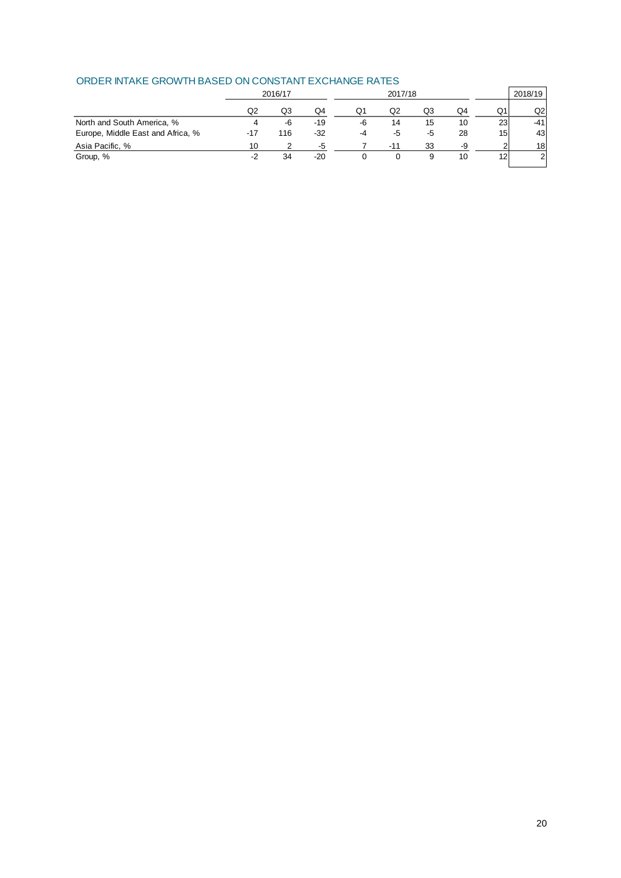|                                   |     | 2016/17 |       |    | 2017/18 |    |    |                 | 2018/19 |
|-----------------------------------|-----|---------|-------|----|---------|----|----|-----------------|---------|
|                                   | Q2  | Q3      | Q4    | Ο1 | Q2      | Q3 | Q4 | Q1              | Q2I     |
| North and South America, %        |     | -6      | $-19$ | -6 | 14      | 15 | 10 | 23              | -41     |
| Europe, Middle East and Africa, % | -17 | 116     | $-32$ | -4 | -5      | -5 | 28 | 15 <sub>l</sub> | 43      |
| Asia Pacific, %                   | 10  |         | -5    |    | $-11$   | 33 | -9 | っ               | 18      |
| Group, %                          | -2  | 34      | $-20$ |    |         |    | 10 | 12              | 2       |

#### ORDER INTAKE GROWTH BASED ON CONSTANT EXCHANGE RATES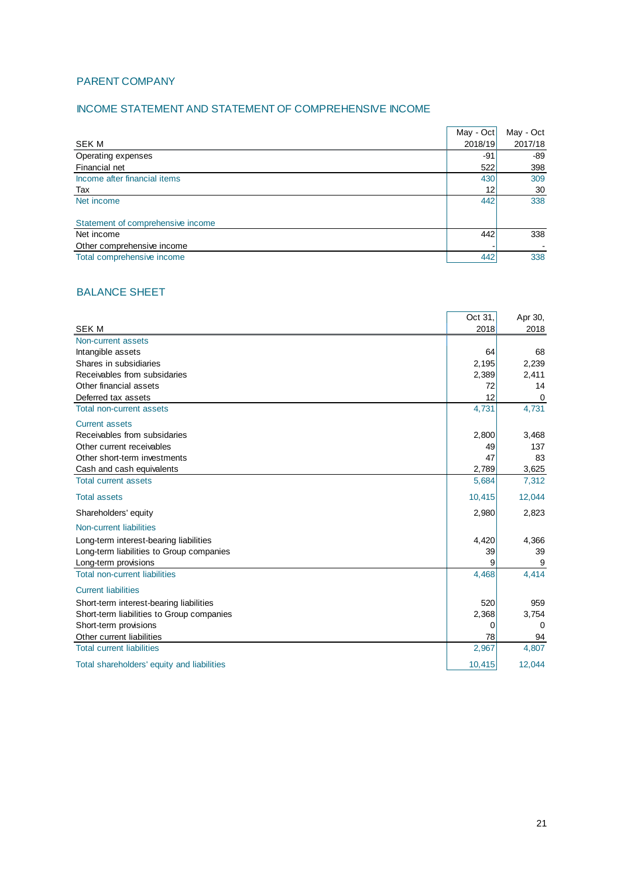## PARENT COMPANY

## INCOME STATEMENT AND STATEMENT OF COMPREHENSIVE INCOME

|                                   | May - Oct | May - Oct |
|-----------------------------------|-----------|-----------|
| <b>SEK M</b>                      | 2018/19   | 2017/18   |
| Operating expenses                | -91       | -89       |
| Financial net                     | 522       | 398       |
| Income after financial items      | 430       | 309       |
| Tax                               | 12        | 30        |
| Net income                        | 442       | 338       |
|                                   |           |           |
| Statement of comprehensive income |           |           |
| Net income                        | 442       | 338       |
| Other comprehensive income        |           |           |
| Total comprehensive income        | 442       | 338       |

## BALANCE SHEET

|                                            | Oct 31. | Apr 30,     |
|--------------------------------------------|---------|-------------|
| <b>SEKM</b>                                | 2018    | 2018        |
| Non-current assets                         |         |             |
| Intangible assets                          | 64      | 68          |
| Shares in subsidiaries                     | 2,195   | 2,239       |
| Receivables from subsidaries               | 2,389   | 2,411       |
| Other financial assets                     | 72      | 14          |
| Deferred tax assets                        | 12      | $\mathbf 0$ |
| Total non-current assets                   | 4,731   | 4,731       |
| <b>Current assets</b>                      |         |             |
| Receivables from subsidaries               | 2,800   | 3,468       |
| Other current receivables                  | 49      | 137         |
| Other short-term investments               | 47      | 83          |
| Cash and cash equivalents                  | 2,789   | 3,625       |
| <b>Total current assets</b>                | 5,684   | 7,312       |
| <b>Total assets</b>                        | 10,415  | 12,044      |
| Shareholders' equity                       | 2,980   | 2,823       |
| Non-current liabilities                    |         |             |
| Long-term interest-bearing liabilities     | 4,420   | 4,366       |
| Long-term liabilities to Group companies   | 39      | 39          |
| Long-term provisions                       | 9       | 9           |
| <b>Total non-current liabilities</b>       | 4,468   | 4,414       |
| <b>Current liabilities</b>                 |         |             |
| Short-term interest-bearing liabilities    | 520     | 959         |
| Short-term liabilities to Group companies  | 2,368   | 3,754       |
| Short-term provisions                      | 0       | 0           |
| Other current liabilities                  | 78      | 94          |
| <b>Total current liabilities</b>           | 2,967   | 4,807       |
| Total shareholders' equity and liabilities | 10,415  | 12,044      |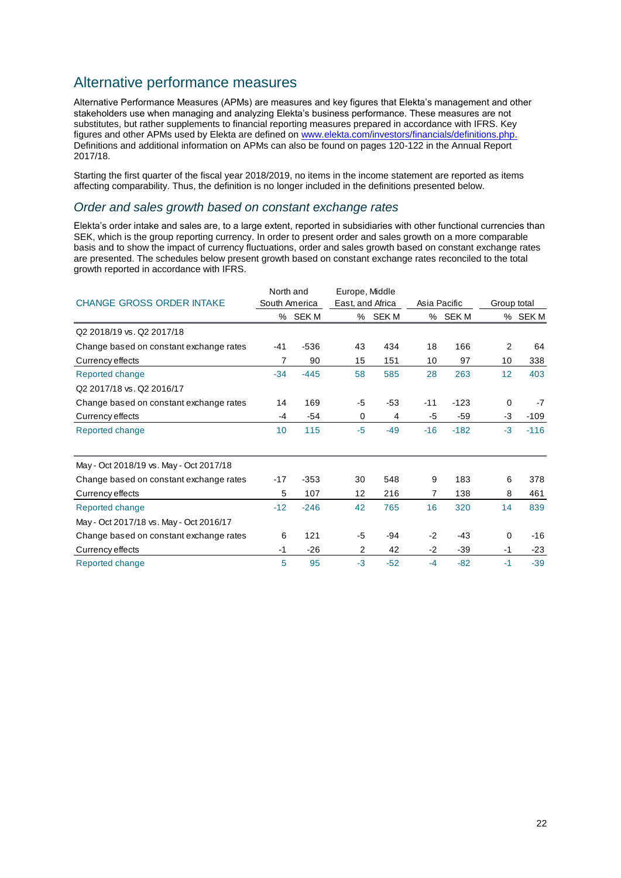# Alternative performance measures

Alternative Performance Measures (APMs) are measures and key figures that Elekta's management and other stakeholders use when managing and analyzing Elekta's business performance. These measures are not substitutes, but rather supplements to financial reporting measures prepared in accordance with IFRS. Key figures and other APMs used by Elekta are defined on [www.elekta.com/investors/financials/definitions.php.](http://www.elekta.com/investors/financials/definitions.php) Definitions and additional information on APMs can also be found on pages 120-122 in the Annual Report 2017/18.

Starting the first quarter of the fiscal year 2018/2019, no items in the income statement are reported as items affecting comparability. Thus, the definition is no longer included in the definitions presented below.

#### *Order and sales growth based on constant exchange rates*

Elekta's order intake and sales are, to a large extent, reported in subsidiaries with other functional currencies than SEK, which is the group reporting currency. In order to present order and sales growth on a more comparable basis and to show the impact of currency fluctuations, order and sales growth based on constant exchange rates are presented. The schedules below present growth based on constant exchange rates reconciled to the total growth reported in accordance with IFRS.

|                                         | North and     |         | Europe, Middle   |         |       |              |             |         |
|-----------------------------------------|---------------|---------|------------------|---------|-------|--------------|-------------|---------|
| <b>CHANGE GROSS ORDER INTAKE</b>        | South America |         | East, and Africa |         |       | Asia Pacific | Group total |         |
|                                         |               | % SEK M |                  | % SEK M |       | % SEK M      |             | % SEK M |
| Q2 2018/19 vs. Q2 2017/18               |               |         |                  |         |       |              |             |         |
| Change based on constant exchange rates | -41           | $-536$  | 43               | 434     | 18    | 166          | 2           | 64      |
| Currency effects                        | 7             | 90      | 15               | 151     | 10    | 97           | 10          | 338     |
| Reported change                         | $-34$         | $-445$  | 58               | 585     | 28    | 263          | 12          | 403     |
| Q2 2017/18 vs. Q2 2016/17               |               |         |                  |         |       |              |             |         |
| Change based on constant exchange rates | 14            | 169     | -5               | $-53$   | $-11$ | $-123$       | 0           | $-7$    |
| Currency effects                        | $-4$          | $-54$   | $\mathbf 0$      | 4       | -5    | $-59$        | $-3$        | $-109$  |
| Reported change                         | 10            | 115     | $-5$             | $-49$   | $-16$ | $-182$       | $-3$        | $-116$  |
| May - Oct 2018/19 vs. May - Oct 2017/18 |               |         |                  |         |       |              |             |         |
| Change based on constant exchange rates | $-17$         | $-353$  | 30               | 548     | 9     | 183          | 6           | 378     |
| Currency effects                        | 5             | 107     | 12               | 216     | 7     | 138          | 8           | 461     |
| Reported change                         | $-12$         | $-246$  | 42               | 765     | 16    | 320          | 14          | 839     |
| May - Oct 2017/18 vs. May - Oct 2016/17 |               |         |                  |         |       |              |             |         |
| Change based on constant exchange rates | 6             | 121     | $-5$             | $-94$   | $-2$  | $-43$        | $\Omega$    | $-16$   |
| Currency effects                        | $-1$          | $-26$   | 2                | 42      | $-2$  | $-39$        | $-1$        | $-23$   |
| Reported change                         | 5             | 95      | $-3$             | $-52$   | $-4$  | $-82$        | $-1$        | $-39$   |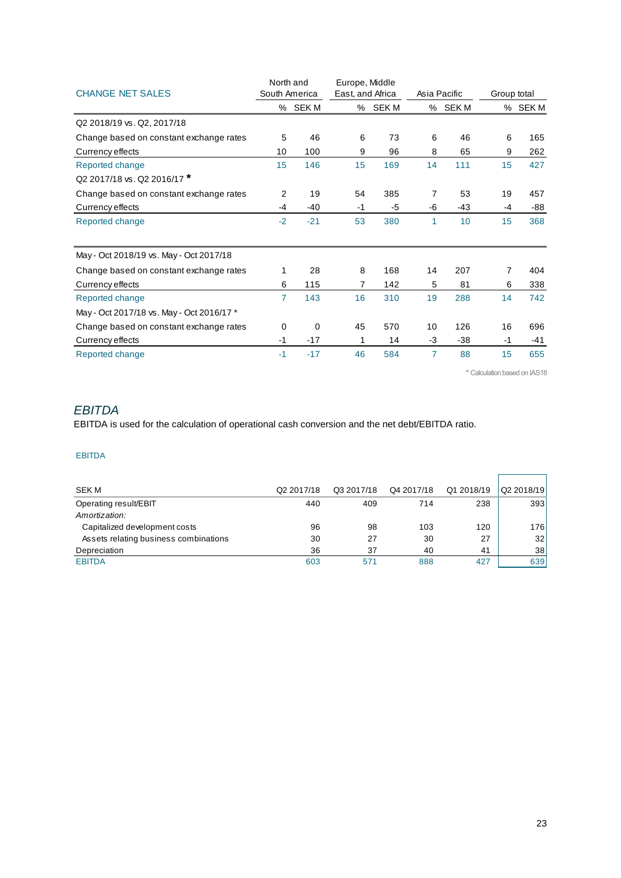|                                           | North and      |         | Europe, Middle   |         |      |              |             |         |
|-------------------------------------------|----------------|---------|------------------|---------|------|--------------|-------------|---------|
| <b>CHANGE NET SALES</b>                   | South America  |         | East, and Africa |         |      | Asia Pacific | Group total |         |
|                                           |                | % SEK M |                  | % SEK M |      | % SEK M      |             | % SEK M |
| Q2 2018/19 vs. Q2, 2017/18                |                |         |                  |         |      |              |             |         |
| Change based on constant exchange rates   | 5              | 46      | 6                | 73      | 6    | 46           | 6           | 165     |
| Currency effects                          | 10             | 100     | 9                | 96      | 8    | 65           | 9           | 262     |
| Reported change                           | 15             | 146     | 15               | 169     | 14   | 111          | 15          | 427     |
| Q2 2017/18 vs. Q2 2016/17 *               |                |         |                  |         |      |              |             |         |
| Change based on constant exchange rates   | $\overline{2}$ | 19      | 54               | 385     | 7    | 53           | 19          | 457     |
| Currency effects                          | $-4$           | $-40$   | $-1$             | $-5$    | -6   | $-43$        | $-4$        | $-88$   |
| Reported change                           | $-2$           | $-21$   | 53               | 380     | 1    | 10           | 15          | 368     |
| May - Oct 2018/19 vs. May - Oct 2017/18   |                |         |                  |         |      |              |             |         |
| Change based on constant exchange rates   | 1              | 28      | 8                | 168     | 14   | 207          | 7           | 404     |
| Currency effects                          | 6              | 115     | 7                | 142     | 5    | 81           | 6           | 338     |
| Reported change                           | 7              | 143     | 16               | 310     | 19   | 288          | 14          | 742     |
| May - Oct 2017/18 vs. May - Oct 2016/17 * |                |         |                  |         |      |              |             |         |
| Change based on constant exchange rates   | 0              | 0       | 45               | 570     | 10   | 126          | 16          | 696     |
| Currency effects                          | $-1$           | $-17$   | 1                | 14      | $-3$ | $-38$        | $-1$        | -41     |
| Reported change                           | $-1$           | $-17$   | 46               | 584     | 7    | 88           | 15          | 655     |

'\* Calculation based on IAS18

## *EBITDA*

EBITDA is used for the calculation of operational cash conversion and the net debt/EBITDA ratio.

#### EBITDA

| <b>SEK M</b>                          | Q2 2017/18 | Q3 2017/18 | Q4 2017/18 | Q1 2018/19 | Q2 2018/19 |
|---------------------------------------|------------|------------|------------|------------|------------|
| Operating result/EBIT                 | 440        | 409        | 714        | 238        | 393        |
| Amortization:                         |            |            |            |            |            |
| Capitalized development costs         | 96         | 98         | 103        | 120        | 176        |
| Assets relating business combinations | 30         | 27         | 30         | 27         | 32         |
| Depreciation                          | 36         | 37         | 40         | 41         | 38         |
| <b>EBITDA</b>                         | 603        | 571        | 888        | 427        | 639        |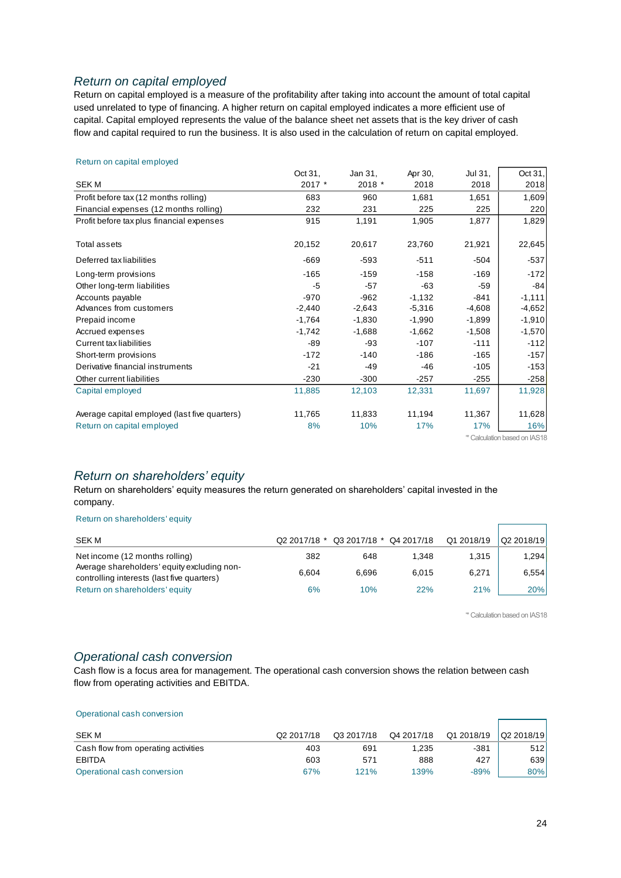## *Return on capital employed*

Return on capital employed is a measure of the profitability after taking into account the amount of total capital used unrelated to type of financing. A higher return on capital employed indicates a more efficient use of capital. Capital employed represents the value of the balance sheet net assets that is the key driver of cash flow and capital required to run the business. It is also used in the calculation of return on capital employed.

#### Return on capital employed

|                                               | Oct 31,  | Jan 31,  | Apr 30,  | Jul 31,  | Oct 31,                      |
|-----------------------------------------------|----------|----------|----------|----------|------------------------------|
| <b>SEKM</b>                                   | 2017 *   | 2018 *   | 2018     | 2018     | 2018                         |
| Profit before tax (12 months rolling)         | 683      | 960      | 1,681    | 1,651    | 1,609                        |
| Financial expenses (12 months rolling)        | 232      | 231      | 225      | 225      | 220                          |
| Profit before tax plus financial expenses     | 915      | 1,191    | 1,905    | 1,877    | 1,829                        |
| Total assets                                  | 20,152   | 20,617   | 23,760   | 21,921   | 22,645                       |
| Deferred tax liabilities                      | $-669$   | -593     | $-511$   | -504     | $-537$                       |
| Long-term provisions                          | $-165$   | $-159$   | $-158$   | $-169$   | $-172$                       |
| Other long-term liabilities                   | $-5$     | $-57$    | $-63$    | $-59$    | $-84$                        |
| Accounts payable                              | $-970$   | $-962$   | $-1,132$ | $-841$   | $-1,111$                     |
| Advances from customers                       | $-2,440$ | $-2,643$ | $-5,316$ | $-4,608$ | $-4,652$                     |
| Prepaid income                                | $-1,764$ | $-1,830$ | $-1,990$ | $-1,899$ | $-1,910$                     |
| Accrued expenses                              | $-1,742$ | $-1,688$ | $-1,662$ | $-1,508$ | $-1,570$                     |
| Current tax liabilities                       | $-89$    | -93      | $-107$   | $-111$   | $-112$                       |
| Short-term provisions                         | $-172$   | $-140$   | $-186$   | $-165$   | $-157$                       |
| Derivative financial instruments              | $-21$    | -49      | $-46$    | $-105$   | $-153$                       |
| Other current liabilities                     | $-230$   | $-300$   | $-257$   | $-255$   | $-258$                       |
| Capital employed                              | 11,885   | 12,103   | 12,331   | 11,697   | 11,928                       |
| Average capital employed (last five quarters) | 11,765   | 11,833   | 11,194   | 11,367   | 11,628                       |
| Return on capital employed                    | 8%       | 10%      | 17%      | 17%      | 16%                          |
|                                               |          |          |          |          | * Calculation based on IAS18 |

#### *Return on shareholders' equity*

Return on shareholders' equity measures the return generated on shareholders' capital invested in the company.

#### Return on shareholders' equity

| SEK M                                                                                     | Q2 2017/18 * | Q3 2017/18 * | Q4 2017/18 | Q1 2018/19 | Q2 2018/19 |
|-------------------------------------------------------------------------------------------|--------------|--------------|------------|------------|------------|
| Net income (12 months rolling)                                                            | 382          | 648          | 1.348      | 1.315      | 1,294      |
| Average shareholders' equity excluding non-<br>controlling interests (last five quarters) | 6.604        | 6.696        | 6.015      | 6,271      | 6,554      |
| Return on shareholders' equity                                                            | 6%           | 10%          | 22%        | 21%        | 20%        |

'\* Calculation based on IAS18

## *Operational cash conversion*

Cash flow is a focus area for management. The operational cash conversion shows the relation between cash flow from operating activities and EBITDA.

#### Operational cash conversion

| SEK M                               | Q2 2017/18 | Q3 2017/18 | Q4 2017/18 | Q1 2018/19 | Q2 2018/19 |
|-------------------------------------|------------|------------|------------|------------|------------|
| Cash flow from operating activities | 403        | 691        | 1.235      | $-381$     | 512        |
| <b>EBITDA</b>                       | 603        | 571        | 888        | 427        | 639        |
| Operational cash conversion         | 67%        | 121%       | 139%       | $-89%$     | 80%        |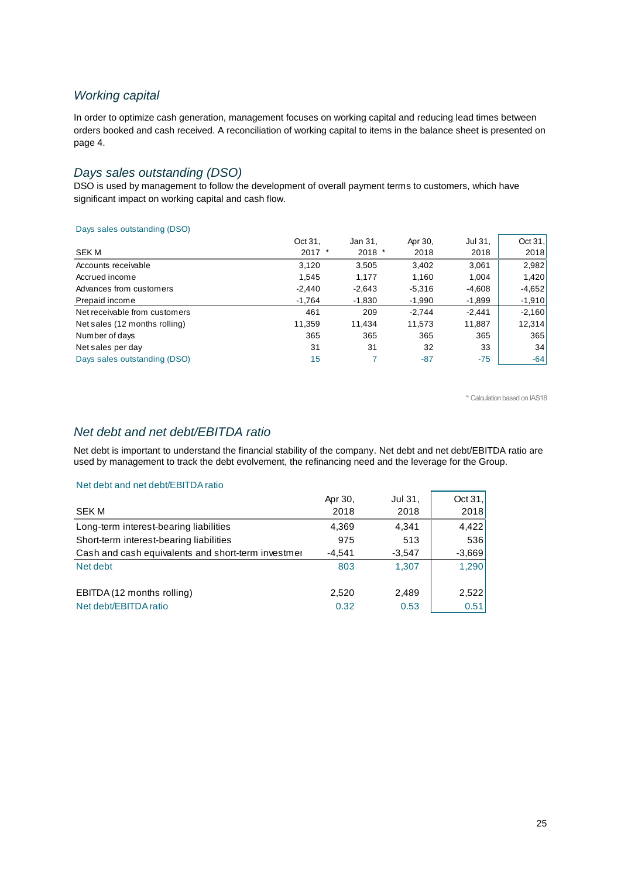## *Working capital*

In order to optimize cash generation, management focuses on working capital and reducing lead times between orders booked and cash received. A reconciliation of working capital to items in the balance sheet is presented on page 4.

## *Days sales outstanding (DSO)*

DSO is used by management to follow the development of overall payment terms to customers, which have significant impact on working capital and cash flow.

#### Days sales outstanding (DSO)

|                               | Oct 31,  | Jan 31,  | Apr 30,  | Jul 31,  | Oct $31$ , |
|-------------------------------|----------|----------|----------|----------|------------|
| <b>SEK M</b>                  | $2017$ * | $2018$ * | 2018     | 2018     | 2018       |
| Accounts receivable           | 3,120    | 3,505    | 3.402    | 3,061    | 2,982      |
| Accrued income                | 1,545    | 1,177    | 1,160    | 1,004    | 1,420      |
| Advances from customers       | $-2,440$ | $-2,643$ | $-5,316$ | $-4,608$ | $-4,652$   |
| Prepaid income                | $-1,764$ | $-1,830$ | $-1,990$ | $-1,899$ | $-1,910$   |
| Net receivable from customers | 461      | 209      | $-2.744$ | $-2.441$ | $-2,160$   |
| Net sales (12 months rolling) | 11,359   | 11,434   | 11,573   | 11,887   | 12,314     |
| Number of days                | 365      | 365      | 365      | 365      | 365        |
| Net sales per day             | 31       | 31       | 32       | 33       | 34         |
| Days sales outstanding (DSO)  | 15       |          | $-87$    | $-75$    | $-64$      |
|                               |          |          |          |          |            |

'\* Calculation based on IAS18

## *Net debt and net debt/EBITDA ratio*

Net debt is important to understand the financial stability of the company. Net debt and net debt/EBITDA ratio are used by management to track the debt evolvement, the refinancing need and the leverage for the Group.

#### Net debt and net debt/EBITDA ratio

|                                                    | Apr 30,  | Jul 31,  | Oct $31,$ |
|----------------------------------------------------|----------|----------|-----------|
| <b>SEK M</b>                                       | 2018     | 2018     | 2018      |
| Long-term interest-bearing liabilities             | 4,369    | 4.341    | 4,422     |
| Short-term interest-bearing liabilities            | 975      | 513      | 536       |
| Cash and cash equivalents and short-term investmer | $-4.541$ | $-3,547$ | $-3,669$  |
| Net debt                                           | 803      | 1.307    | 1,290     |
| EBITDA (12 months rolling)                         | 2,520    | 2.489    | 2,522     |
| Net debt/EBITDA ratio                              | 0.32     | 0.53     | 0.51      |